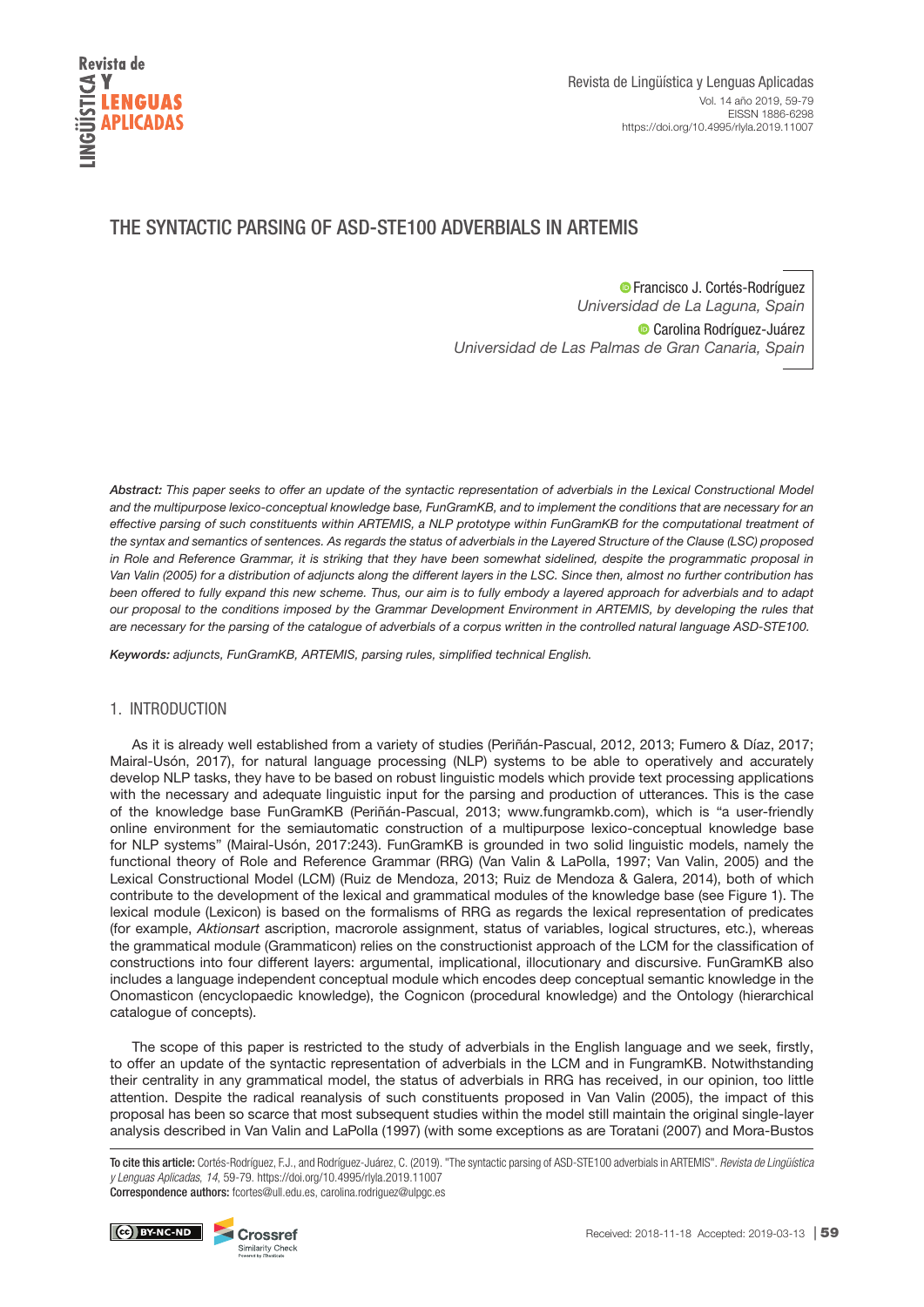

# THE SYNTACTIC PARSING OF ASD-STE100 ADVERBIALS IN ARTEMIS

**•** [F](https://orcid.org/0000-0001-8733-5468)rancisco J. Cortés-Rodríguez Universidad de La Laguna, Spain **CarolinaRodríguez-Juárez** Universidad de Las Palmas de Gran Canaria, Spain

*Abstract:* This paper seeks to offer an update of the syntactic representation of adverbials in the Lexical Constructional Model and the multipurpose lexico-conceptual knowledge base, FunGramKB, and to implement the conditions that are necessary for an effective parsing of such constituents within ARTEMIS, a NLP prototype within FunGramKB for the computational treatment of the syntax and semantics of sentences. As regards the status of adverbials in the Layered Structure of the Clause (LSC) proposed in Role and Reference Grammar, it is striking that they have been somewhat sidelined, despite the programmatic proposal in Van Valin (2005) for a distribution of adjuncts along the different layers in the LSC. Since then, almost no further contribution has been offered to fully expand this new scheme. Thus, our aim is to fully embody a layered approach for adverbials and to adapt our proposal to the conditions imposed by the Grammar Development Environment in ARTEMIS, by developing the rules that are necessary for the parsing of the catalogue of adverbials of a corpus written in the controlled natural language ASD-STE100.

*Keywords:* adjuncts, FunGramKB, ARTEMIS, parsing rules, simplified technical English.

# 1. INTRODUCTION

As it is already well established from a variety of studies (Periñán-Pascual, 2012, 2013; Fumero & Díaz, 2017; Mairal-Usón, 2017), for natural language processing (NLP) systems to be able to operatively and accurately develop NLP tasks, they have to be based on robust linguistic models which provide text processing applications with the necessary and adequate linguistic input for the parsing and production of utterances. This is the case of the knowledge base FunGramKB (Periñán-Pascual, 2013; [www.fungramkb.com](http://www.fungramkb.com)), which is "a user-friendly online environment for the semiautomatic construction of a multipurpose lexico-conceptual knowledge base for NLP systems" (Mairal-Usón, 2017:243). FunGramKB is grounded in two solid linguistic models, namely the functional theory of Role and Reference Grammar (RRG) (Van Valin & LaPolla, 1997; Van Valin, 2005) and the Lexical Constructional Model (LCM) (Ruiz de Mendoza, 2013; Ruiz de Mendoza & Galera, 2014), both of which contribute to the development of the lexical and grammatical modules of the knowledge base (see Figure 1). The lexical module (Lexicon) is based on the formalisms of RRG as regards the lexical representation of predicates (for example, Aktionsart ascription, macrorole assignment, status of variables, logical structures, etc.), whereas the grammatical module (Grammaticon) relies on the constructionist approach of the LCM for the classification of constructions into four different layers: argumental, implicational, illocutionary and discursive. FunGramKB also includes a language independent conceptual module which encodes deep conceptual semantic knowledge in the Onomasticon (encyclopaedic knowledge), the Cognicon (procedural knowledge) and the Ontology (hierarchical catalogue of concepts).

The scope of this paper is restricted to the study of adverbials in the English language and we seek, firstly, to offer an update of the syntactic representation of adverbials in the LCM and in FungramKB. Notwithstanding their centrality in any grammatical model, the status of adverbials in RRG has received, in our opinion, too little attention. Despite the radical reanalysis of such constituents proposed in Van Valin (2005), the impact of this proposal has been so scarce that most subsequent studies within the model still maintain the original single-layer analysis described in Van Valin and LaPolla (1997) (with some exceptions as are Toratani (2007) and Mora-Bustos

To cite this article: Cortés-Rodríguez, F.J., and Rodríguez-Juárez, C. (2019). "The syntactic parsing of ASD-STE100 adverbials in ARTEMIS". *Revista de Lingüística y Lenguas Aplicadas*, *14*, 59-79. https://doi.org/10.4995/rlyla.2019.11007 Correspondence authors: fcortes@ull.edu.es, carolina.rodriguez@ulpgc.es

(cc) BY-NC-ND Crossref

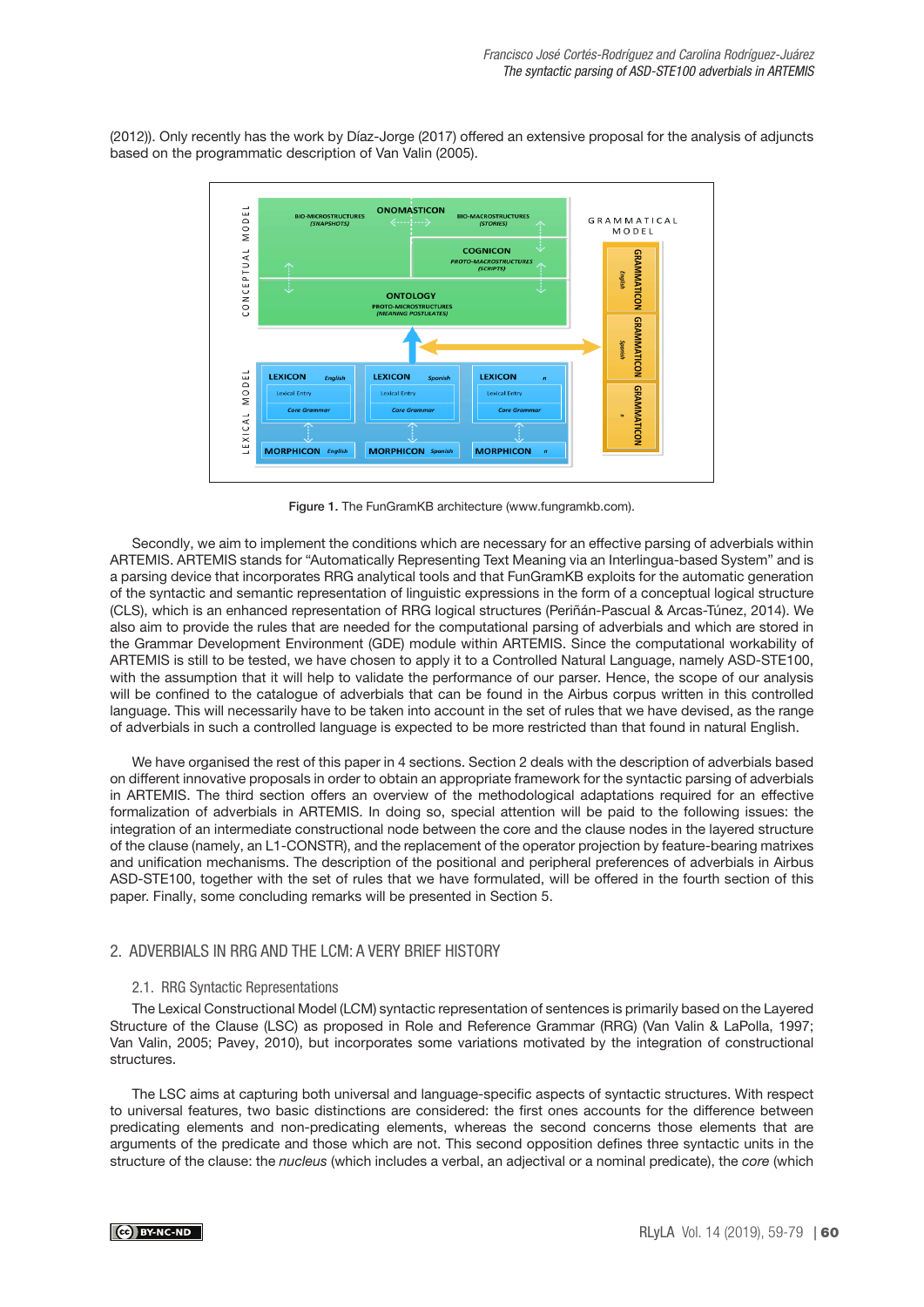(2012)). Only recently has the work by Díaz-Jorge (2017) offered an extensive proposal for the analysis of adjuncts based on the programmatic description of Van Valin (2005).



Figure 1. The FunGramKB architecture [\(www.fungramkb.com\)](http://www.fungramkb.com).

Secondly, we aim to implement the conditions which are necessary for an effective parsing of adverbials within ARTEMIS. ARTEMIS stands for "Automatically Representing Text Meaning via an Interlingua-based System" and is a parsing device that incorporates RRG analytical tools and that FunGramKB exploits for the automatic generation of the syntactic and semantic representation of linguistic expressions in the form of a conceptual logical structure (CLS), which is an enhanced representation of RRG logical structures (Periñán-Pascual & Arcas-Túnez, 2014). We also aim to provide the rules that are needed for the computational parsing of adverbials and which are stored in the Grammar Development Environment (GDE) module within ARTEMIS. Since the computational workability of ARTEMIS is still to be tested, we have chosen to apply it to a Controlled Natural Language, namely ASD-STE100, with the assumption that it will help to validate the performance of our parser. Hence, the scope of our analysis will be confined to the catalogue of adverbials that can be found in the Airbus corpus written in this controlled language. This will necessarily have to be taken into account in the set of rules that we have devised, as the range of adverbials in such a controlled language is expected to be more restricted than that found in natural English.

We have organised the rest of this paper in 4 sections. Section 2 deals with the description of adverbials based on different innovative proposals in order to obtain an appropriate framework for the syntactic parsing of adverbials in ARTEMIS. The third section offers an overview of the methodological adaptations required for an effective formalization of adverbials in ARTEMIS. In doing so, special attention will be paid to the following issues: the integration of an intermediate constructional node between the core and the clause nodes in the layered structure of the clause (namely, an L1-CONSTR), and the replacement of the operator projection by feature-bearing matrixes and unification mechanisms. The description of the positional and peripheral preferences of adverbials in Airbus ASD-STE100, together with the set of rules that we have formulated, will be offered in the fourth section of this paper. Finally, some concluding remarks will be presented in Section 5.

# 2. ADVERBIALS IN RRG AND THE LCM: A VERY BRIEF HISTORY

### 2.1. RRG Syntactic Representations

The Lexical Constructional Model (LCM) syntactic representation of sentences is primarily based on the Layered Structure of the Clause (LSC) as proposed in Role and Reference Grammar (RRG) (Van Valin & LaPolla, 1997; Van Valin, 2005; Pavey, 2010), but incorporates some variations motivated by the integration of constructional structures.

The LSC aims at capturing both universal and language-specific aspects of syntactic structures. With respect to universal features, two basic distinctions are considered: the first ones accounts for the difference between predicating elements and non-predicating elements, whereas the second concerns those elements that are arguments of the predicate and those which are not. This second opposition defines three syntactic units in the structure of the clause: the nucleus (which includes a verbal, an adjectival or a nominal predicate), the core (which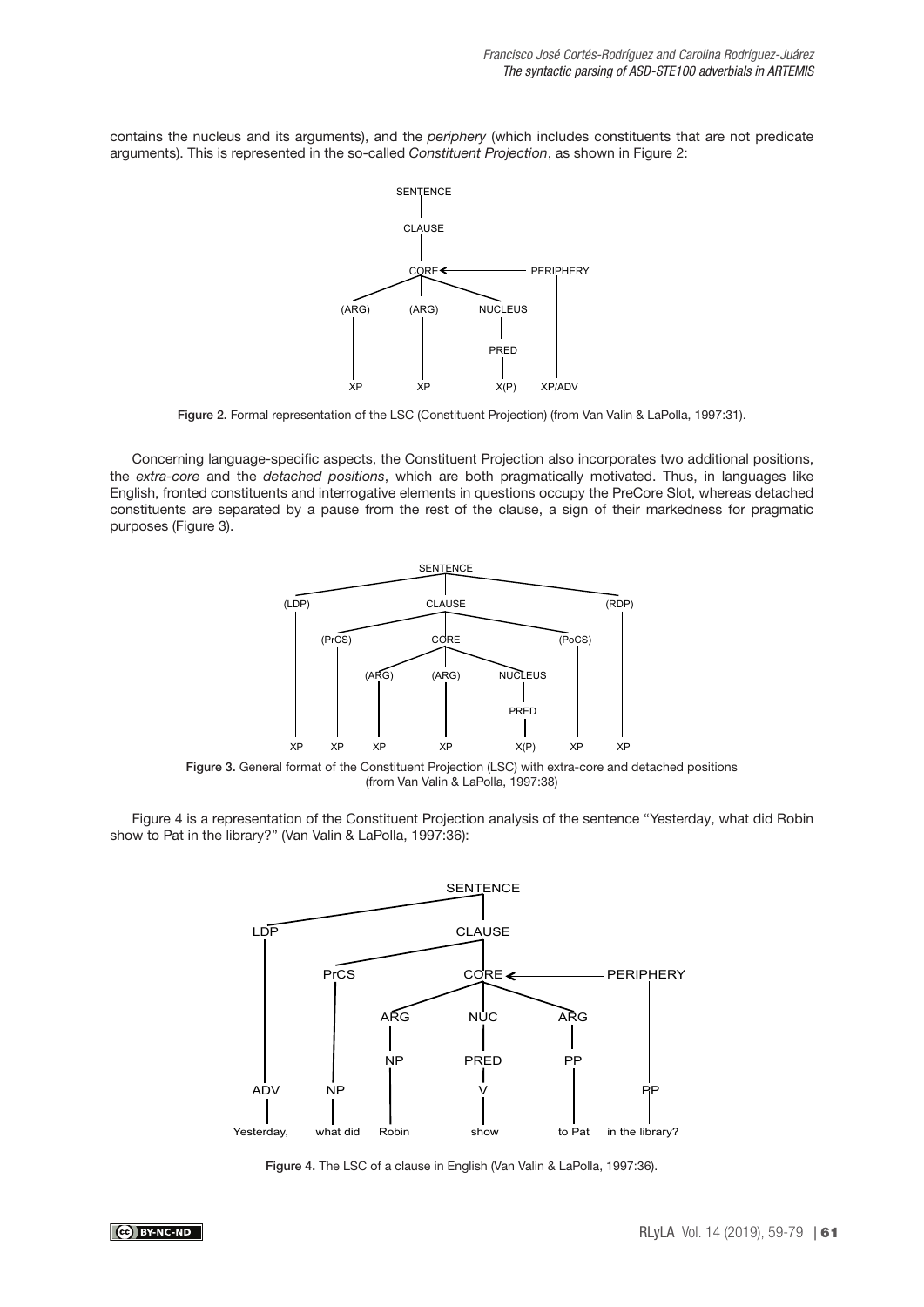contains the nucleus and its arguments), and the periphery (which includes constituents that are not predicate arguments). This is represented in the so-called Constituent Projection, as shown in Figure 2:



Figure 2. Formal representation of the LSC (Constituent Projection) (from Van Valin & LaPolla, 1997:31).

Concerning language-specific aspects, the Constituent Projection also incorporates two additional positions, the extra-core and the detached positions, which are both pragmatically motivated. Thus, in languages like English, fronted constituents and interrogative elements in questions occupy the PreCore Slot, whereas detached constituents are separated by a pause from the rest of the clause, a sign of their markedness for pragmatic purposes (Figure 3).



Figure 3. General format of the Constituent Projection (LSC) with extra-core and detached positions (from Van Valin & LaPolla, 1997:38)

Figure 4 is a representation of the Constituent Projection analysis of the sentence "Yesterday, what did Robin show to Pat in the library?" (Van Valin & LaPolla, 1997:36):



Figure 4. The LSC of a clause in English (Van Valin & LaPolla, 1997:36).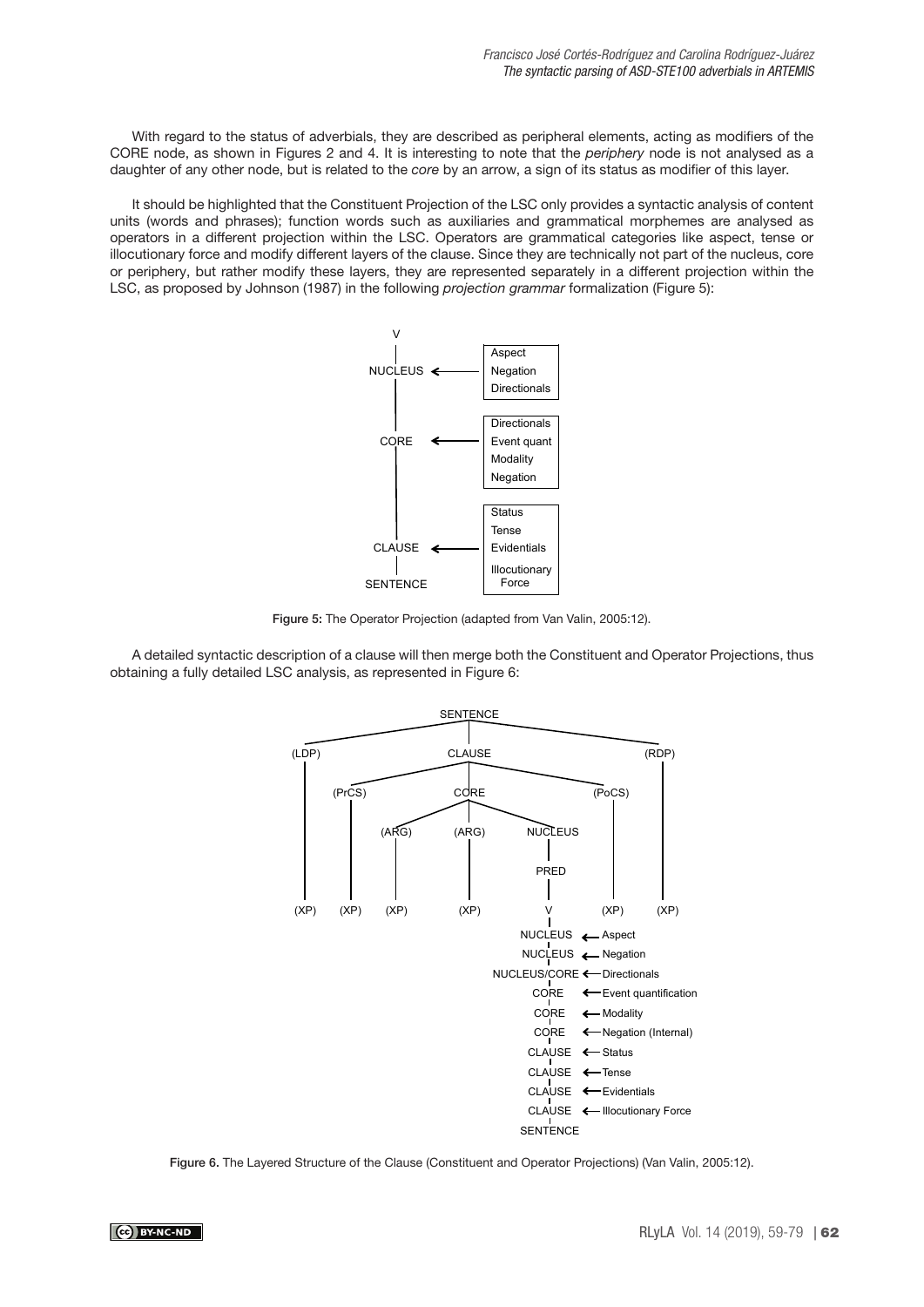With regard to the status of adverbials, they are described as peripheral elements, acting as modifiers of the CORE node, as shown in Figures 2 and 4. It is interesting to note that the periphery node is not analysed as a daughter of any other node, but is related to the core by an arrow, a sign of its status as modifier of this layer.

It should be highlighted that the Constituent Projection of the LSC only provides a syntactic analysis of content units (words and phrases); function words such as auxiliaries and grammatical morphemes are analysed as operators in a different projection within the LSC. Operators are grammatical categories like aspect, tense or illocutionary force and modify different layers of the clause. Since they are technically not part of the nucleus, core or periphery, but rather modify these layers, they are represented separately in a different projection within the LSC, as proposed by Johnson (1987) in the following *projection grammar* formalization (Figure 5):



Figure 5: The Operator Projection (adapted from Van Valin, 2005:12).

A detailed syntactic description of a clause will then merge both the Constituent and Operator Projections, thus obtaining a fully detailed LSC analysis, as represented in Figure 6:



Figure 6. The Layered Structure of the Clause (Constituent and Operator Projections) (Van Valin, 2005:12).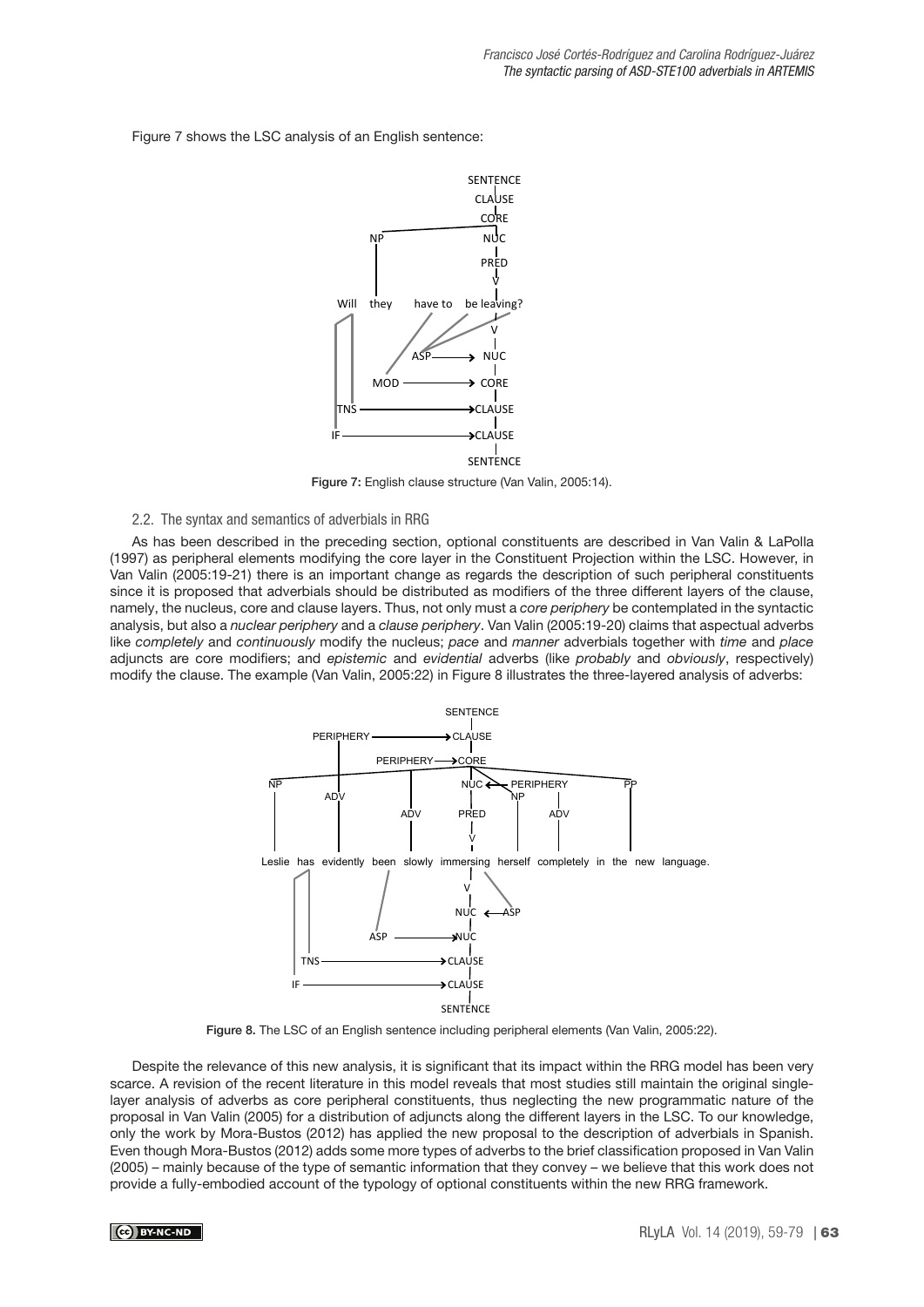Figure 7 shows the LSC analysis of an English sentence:



Figure 7: English clause structure (Van Valin, 2005:14).

### 2.2. The syntax and semantics of adverbials in RRG

As has been described in the preceding section, optional constituents are described in Van Valin & LaPolla (1997) as peripheral elements modifying the core layer in the Constituent Projection within the LSC. However, in Van Valin (2005:19-21) there is an important change as regards the description of such peripheral constituents since it is proposed that adverbials should be distributed as modifiers of the three different layers of the clause, namely, the nucleus, core and clause layers. Thus, not only must a core periphery be contemplated in the syntactic analysis, but also a nuclear periphery and a clause periphery. Van Valin (2005:19-20) claims that aspectual adverbs like completely and continuously modify the nucleus; pace and manner adverbials together with time and place adjuncts are core modifiers; and epistemic and evidential adverbs (like probably and obviously, respectively) modify the clause. The example (Van Valin, 2005:22) in Figure 8 illustrates the three-layered analysis of adverbs:



Figure 8. The LSC of an English sentence including peripheral elements (Van Valin, 2005:22).

Despite the relevance of this new analysis, it is significant that its impact within the RRG model has been very scarce. A revision of the recent literature in this model reveals that most studies still maintain the original singlelayer analysis of adverbs as core peripheral constituents, thus neglecting the new programmatic nature of the proposal in Van Valin (2005) for a distribution of adjuncts along the different layers in the LSC. To our knowledge, only the work by Mora-Bustos (2012) has applied the new proposal to the description of adverbials in Spanish. Even though Mora-Bustos (2012) adds some more types of adverbs to the brief classification proposed in Van Valin (2005) – mainly because of the type of semantic information that they convey – we believe that this work does not provide a fully-embodied account of the typology of optional constituents within the new RRG framework.

#### CC BY-NC-ND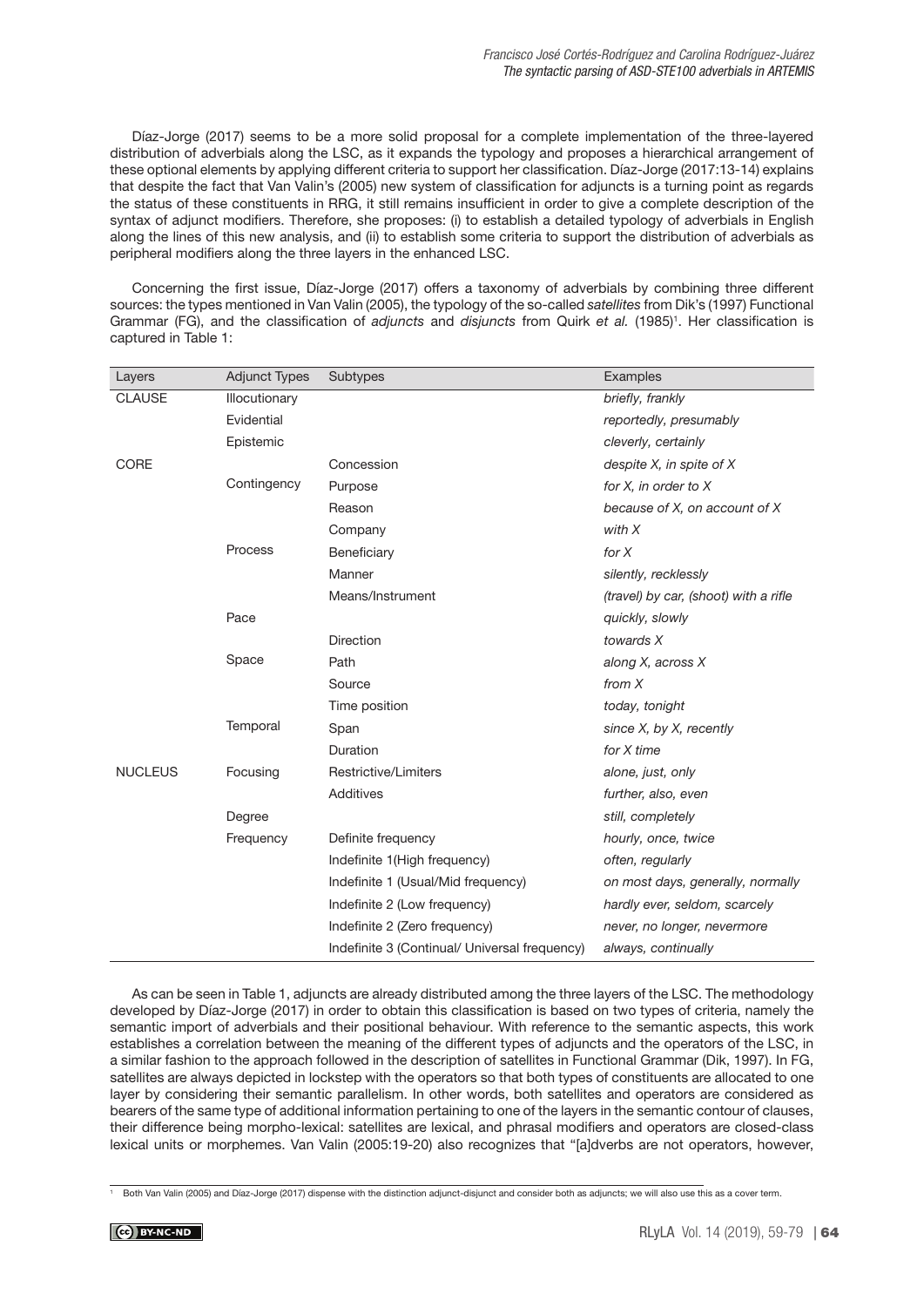Díaz-Jorge (2017) seems to be a more solid proposal for a complete implementation of the three-layered distribution of adverbials along the LSC, as it expands the typology and proposes a hierarchical arrangement of these optional elements by applying different criteria to support her classification. Díaz-Jorge (2017:13-14) explains that despite the fact that Van Valin's (2005) new system of classification for adjuncts is a turning point as regards the status of these constituents in RRG, it still remains insufficient in order to give a complete description of the syntax of adjunct modifiers. Therefore, she proposes: (i) to establish a detailed typology of adverbials in English along the lines of this new analysis, and (ii) to establish some criteria to support the distribution of adverbials as peripheral modifiers along the three layers in the enhanced LSC.

Concerning the first issue, Díaz-Jorge (2017) offers a taxonomy of adverbials by combining three different sources: the types mentioned in Van Valin (2005), the typology of the so-called satellites from Dik's (1997) Functional Grammar (FG), and the classification of adjuncts and disjuncts from Quirk et al. (1985)<sup>1</sup>. Her classification is captured in Table 1:

| Layers         | <b>Adjunct Types</b> | Subtypes                                      | Examples                              |  |  |
|----------------|----------------------|-----------------------------------------------|---------------------------------------|--|--|
| <b>CLAUSE</b>  | Illocutionary        |                                               | briefly, frankly                      |  |  |
|                | Evidential           |                                               | reportedly, presumably                |  |  |
|                | Epistemic            |                                               | cleverly, certainly                   |  |  |
| <b>CORE</b>    |                      | Concession                                    | despite X, in spite of X              |  |  |
|                | Contingency          | Purpose                                       | for X, in order to X                  |  |  |
|                |                      | Reason                                        | because of X, on account of X         |  |  |
|                |                      | Company                                       | with X                                |  |  |
|                | Process              | Beneficiary                                   | for $X$                               |  |  |
|                |                      | Manner                                        | silently, recklessly                  |  |  |
|                |                      | Means/Instrument                              | (travel) by car, (shoot) with a rifle |  |  |
|                | Pace                 |                                               | quickly, slowly                       |  |  |
|                |                      | <b>Direction</b>                              | towards X                             |  |  |
|                | Space                | Path                                          | along X, across X                     |  |  |
|                |                      | Source                                        | from $X$                              |  |  |
|                |                      | Time position                                 | today, tonight                        |  |  |
|                | Temporal             | Span                                          | since X, by X, recently               |  |  |
|                |                      | Duration                                      | for X time                            |  |  |
| <b>NUCLEUS</b> | Focusing             | Restrictive/Limiters                          | alone, just, only                     |  |  |
|                |                      | Additives                                     | further, also, even                   |  |  |
|                | Degree               |                                               | still, completely                     |  |  |
|                | Frequency            | Definite frequency                            | hourly, once, twice                   |  |  |
|                |                      | Indefinite 1(High frequency)                  | often, regularly                      |  |  |
|                |                      | Indefinite 1 (Usual/Mid frequency)            | on most days, generally, normally     |  |  |
|                |                      | Indefinite 2 (Low frequency)                  | hardly ever, seldom, scarcely         |  |  |
|                |                      | Indefinite 2 (Zero frequency)                 | never, no longer, nevermore           |  |  |
|                |                      | Indefinite 3 (Continual/ Universal frequency) | always, continually                   |  |  |

As can be seen in Table 1, adjuncts are already distributed among the three layers of the LSC. The methodology developed by Díaz-Jorge (2017) in order to obtain this classification is based on two types of criteria, namely the semantic import of adverbials and their positional behaviour. With reference to the semantic aspects, this work establishes a correlation between the meaning of the different types of adjuncts and the operators of the LSC, in a similar fashion to the approach followed in the description of satellites in Functional Grammar (Dik, 1997). In FG, satellites are always depicted in lockstep with the operators so that both types of constituents are allocated to one layer by considering their semantic parallelism. In other words, both satellites and operators are considered as bearers of the same type of additional information pertaining to one of the layers in the semantic contour of clauses, their difference being morpho-lexical: satellites are lexical, and phrasal modifiers and operators are closed-class lexical units or morphemes. Van Valin (2005:19-20) also recognizes that "[a]dverbs are not operators, however,

<sup>1</sup> Both Van Valin (2005) and Díaz-Jorge (2017) dispense with the distinction adjunct-disjunct and consider both as adjuncts; we will also use this as a cover term.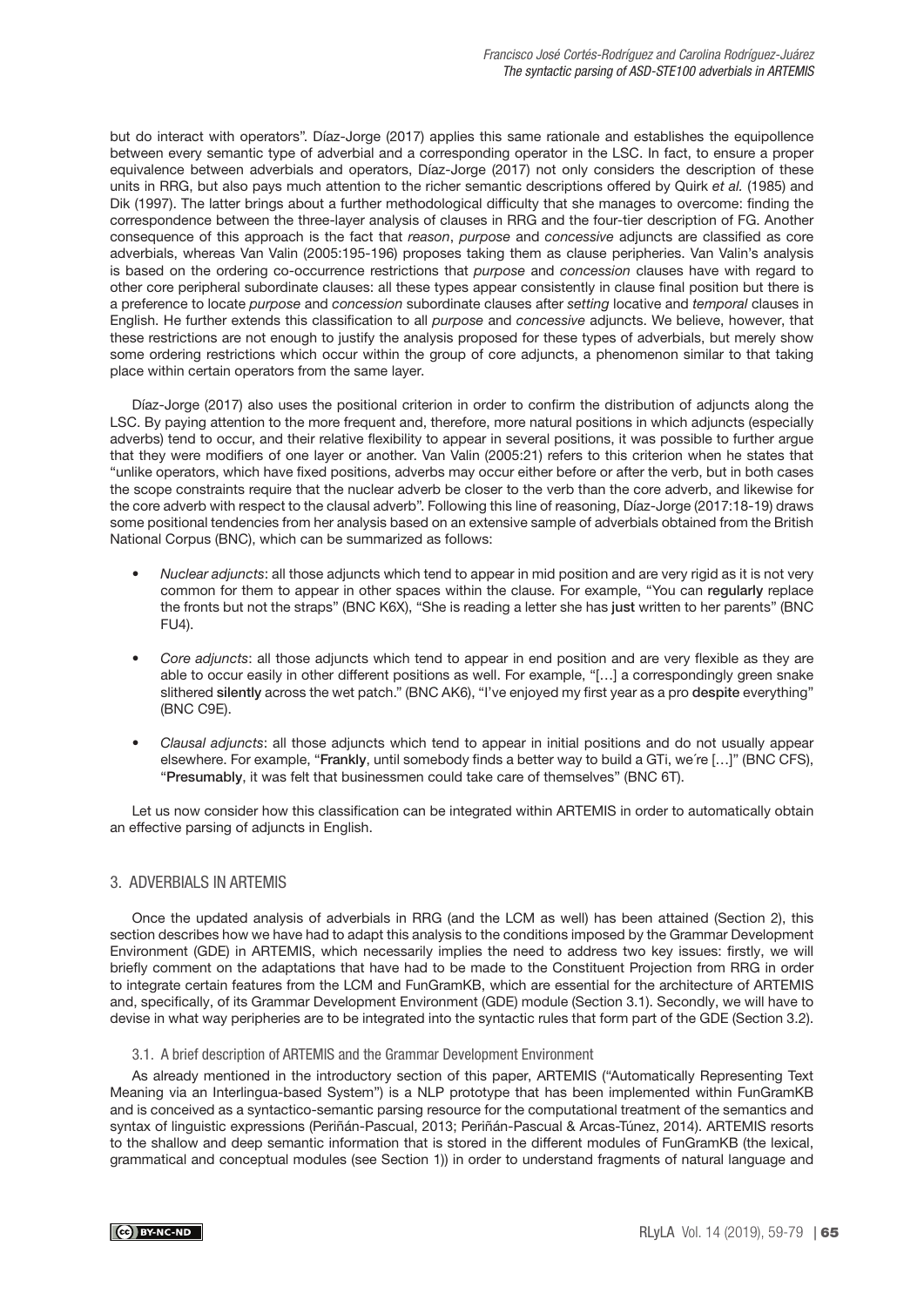but do interact with operators". Díaz-Jorge (2017) applies this same rationale and establishes the equipollence between every semantic type of adverbial and a corresponding operator in the LSC. In fact, to ensure a proper equivalence between adverbials and operators, Díaz-Jorge (2017) not only considers the description of these units in RRG, but also pays much attention to the richer semantic descriptions offered by Quirk et al. (1985) and Dik (1997). The latter brings about a further methodological difficulty that she manages to overcome: finding the correspondence between the three-layer analysis of clauses in RRG and the four-tier description of FG. Another consequence of this approach is the fact that reason, purpose and concessive adjuncts are classified as core adverbials, whereas Van Valin (2005:195-196) proposes taking them as clause peripheries. Van Valin's analysis is based on the ordering co-occurrence restrictions that purpose and concession clauses have with regard to other core peripheral subordinate clauses: all these types appear consistently in clause final position but there is a preference to locate purpose and concession subordinate clauses after setting locative and temporal clauses in English. He further extends this classification to all purpose and concessive adjuncts. We believe, however, that these restrictions are not enough to justify the analysis proposed for these types of adverbials, but merely show some ordering restrictions which occur within the group of core adjuncts, a phenomenon similar to that taking place within certain operators from the same layer.

Díaz-Jorge (2017) also uses the positional criterion in order to confirm the distribution of adjuncts along the LSC. By paying attention to the more frequent and, therefore, more natural positions in which adjuncts (especially adverbs) tend to occur, and their relative flexibility to appear in several positions, it was possible to further argue that they were modifiers of one layer or another. Van Valin (2005:21) refers to this criterion when he states that "unlike operators, which have fixed positions, adverbs may occur either before or after the verb, but in both cases the scope constraints require that the nuclear adverb be closer to the verb than the core adverb, and likewise for the core adverb with respect to the clausal adverb". Following this line of reasoning, Díaz-Jorge (2017:18-19) draws some positional tendencies from her analysis based on an extensive sample of adverbials obtained from the British National Corpus (BNC), which can be summarized as follows:

- Nuclear adjuncts: all those adjuncts which tend to appear in mid position and are very rigid as it is not very common for them to appear in other spaces within the clause. For example, "You can regularly replace the fronts but not the straps" (BNC K6X), "She is reading a letter she has just written to her parents" (BNC FU4).
- Core adjuncts: all those adjuncts which tend to appear in end position and are very flexible as they are able to occur easily in other different positions as well. For example, "[…] a correspondingly green snake slithered silently across the wet patch." (BNC AK6), "I've enjoyed my first year as a pro despite everything" (BNC C9E).
- Clausal adjuncts: all those adjuncts which tend to appear in initial positions and do not usually appear elsewhere. For example, "Frankly, until somebody finds a better way to build a GTi, we´re […]" (BNC CFS), "Presumably, it was felt that businessmen could take care of themselves" (BNC 6T).

Let us now consider how this classification can be integrated within ARTEMIS in order to automatically obtain an effective parsing of adjuncts in English.

# 3. ADVERBIALS IN ARTEMIS

Once the updated analysis of adverbials in RRG (and the LCM as well) has been attained (Section 2), this section describes how we have had to adapt this analysis to the conditions imposed by the Grammar Development Environment (GDE) in ARTEMIS, which necessarily implies the need to address two key issues: firstly, we will briefly comment on the adaptations that have had to be made to the Constituent Projection from RRG in order to integrate certain features from the LCM and FunGramKB, which are essential for the architecture of ARTEMIS and, specifically, of its Grammar Development Environment (GDE) module (Section 3.1). Secondly, we will have to devise in what way peripheries are to be integrated into the syntactic rules that form part of the GDE (Section 3.2).

### 3.1. A brief description of ARTEMIS and the Grammar Development Environment

As already mentioned in the introductory section of this paper, ARTEMIS ("Automatically Representing Text Meaning via an Interlingua-based System") is a NLP prototype that has been implemented within FunGramKB and is conceived as a syntactico-semantic parsing resource for the computational treatment of the semantics and syntax of linguistic expressions (Periñán-Pascual, 2013; Periñán-Pascual & Arcas-Túnez, 2014). ARTEMIS resorts to the shallow and deep semantic information that is stored in the different modules of FunGramKB (the lexical, grammatical and conceptual modules (see Section 1)) in order to understand fragments of natural language and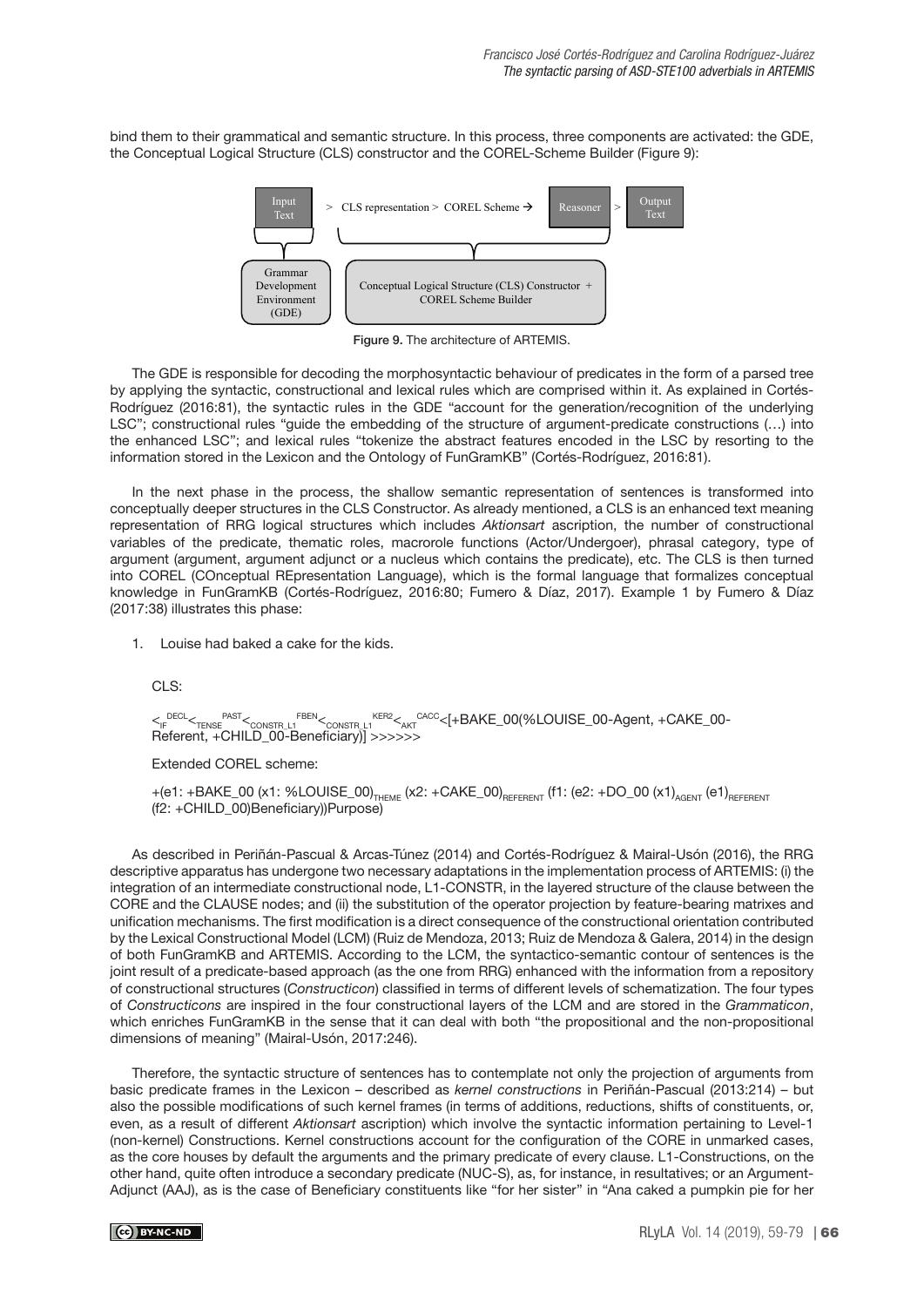bind them to their grammatical and semantic structure. In this process, three components are activated: the GDE, the Conceptual Logical Structure (CLS) constructor and the COREL-Scheme Builder (Figure 9):



Figure 9. The architecture of ARTEMIS.

The GDE is responsible for decoding the morphosyntactic behaviour of predicates in the form of a parsed tree by applying the syntactic, constructional and lexical rules which are comprised within it. As explained in Cortés-Rodríguez (2016:81), the syntactic rules in the GDE "account for the generation/recognition of the underlying LSC"; constructional rules "guide the embedding of the structure of argument-predicate constructions (…) into the enhanced LSC"; and lexical rules "tokenize the abstract features encoded in the LSC by resorting to the information stored in the Lexicon and the Ontology of FunGramKB" (Cortés-Rodríguez, 2016:81).

In the next phase in the process, the shallow semantic representation of sentences is transformed into conceptually deeper structures in the CLS Constructor. As already mentioned, a CLS is an enhanced text meaning representation of RRG logical structures which includes Aktionsart ascription, the number of constructional variables of the predicate, thematic roles, macrorole functions (Actor/Undergoer), phrasal category, type of argument (argument, argument adjunct or a nucleus which contains the predicate), etc. The CLS is then turned into COREL (COnceptual REpresentation Language), which is the formal language that formalizes conceptual knowledge in FunGramKB (Cortés-Rodríguez, 2016:80; Fumero & Díaz, 2017). Example 1 by Fumero & Díaz (2017:38) illustrates this phase:

1. Louise had baked a cake for the kids.

CLS:

 $<_{\textsf{\tiny IF}}$ decl $<_{\textsf{\tiny TENSE}}$ past $<_{\textsf{\tiny CONSTR\_L1}}$ rben $<_{\textsf{\tiny CONSTR\_L1}}$ ker $<_{\textsf{\tiny AKT}}$ cacc $<$ [+BAKE\_00(%LOUISE\_00-Agent, +CAKE\_00-Referent, +CHILD\_00-Beneficiary)] >>>>>>>

Extended COREL scheme:

 $+(e1: +BAKE_00 (x1: %LOUISE_00)_{THEME} (x2: +CAKE_00)_{REFERENT} (f1: (e2: +DO_00 (x1)_{AGENT} (e1)_{REFERENT}$ (f2: +CHILD\_00)Beneficiary))Purpose)

As described in Periñán-Pascual & Arcas-Túnez (2014) and Cortés-Rodríguez & Mairal-Usón (2016), the RRG descriptive apparatus has undergone two necessary adaptations in the implementation process of ARTEMIS: (i) the integration of an intermediate constructional node, L1-CONSTR, in the layered structure of the clause between the CORE and the CLAUSE nodes; and (ii) the substitution of the operator projection by feature-bearing matrixes and unification mechanisms. The first modification is a direct consequence of the constructional orientation contributed by the Lexical Constructional Model (LCM) (Ruiz de Mendoza, 2013; Ruiz de Mendoza & Galera, 2014) in the design of both FunGramKB and ARTEMIS. According to the LCM, the syntactico-semantic contour of sentences is the joint result of a predicate-based approach (as the one from RRG) enhanced with the information from a repository of constructional structures (Constructicon) classified in terms of different levels of schematization. The four types of Constructicons are inspired in the four constructional layers of the LCM and are stored in the Grammaticon, which enriches FunGramKB in the sense that it can deal with both "the propositional and the non-propositional dimensions of meaning" (Mairal-Usón, 2017:246).

Therefore, the syntactic structure of sentences has to contemplate not only the projection of arguments from basic predicate frames in the Lexicon – described as kernel constructions in Periñán-Pascual (2013:214) – but also the possible modifications of such kernel frames (in terms of additions, reductions, shifts of constituents, or, even, as a result of different Aktionsart ascription) which involve the syntactic information pertaining to Level-1 (non-kernel) Constructions. Kernel constructions account for the configuration of the CORE in unmarked cases, as the core houses by default the arguments and the primary predicate of every clause. L1-Constructions, on the other hand, quite often introduce a secondary predicate (NUC-S), as, for instance, in resultatives; or an Argument-Adjunct (AAJ), as is the case of Beneficiary constituents like "for her sister" in "Ana caked a pumpkin pie for her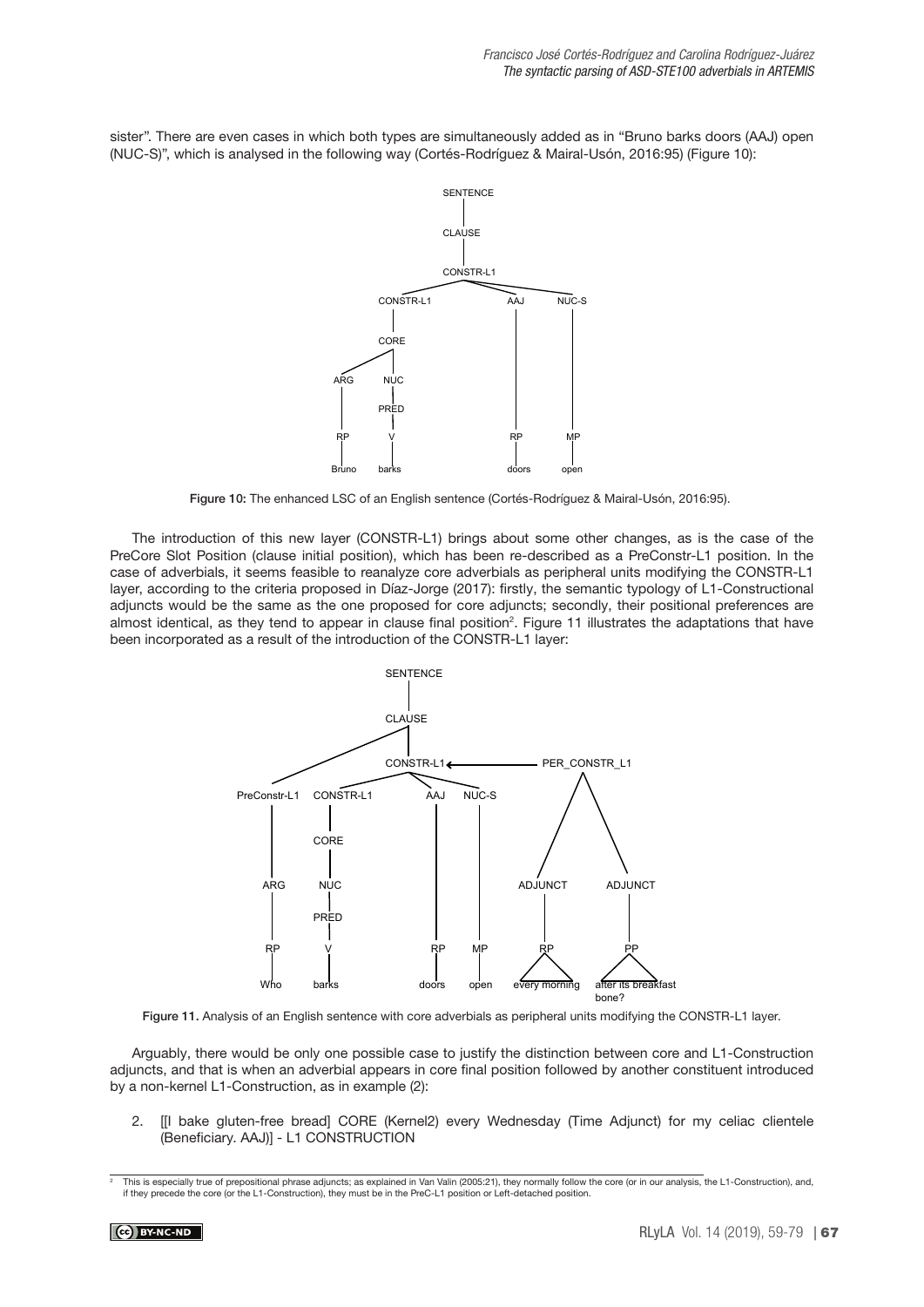sister". There are even cases in which both types are simultaneously added as in "Bruno barks doors (AAJ) open (NUC-S)", which is analysed in the following way (Cortés-Rodríguez & Mairal-Usón, 2016:95) (Figure 10):



Figure 10: The enhanced LSC of an English sentence (Cortés-Rodríguez & Mairal-Usón, 2016:95).

The introduction of this new layer (CONSTR-L1) brings about some other changes, as is the case of the PreCore Slot Position (clause initial position), which has been re-described as a PreConstr-L1 position. In the case of adverbials, it seems feasible to reanalyze core adverbials as peripheral units modifying the CONSTR-L1 layer, according to the criteria proposed in Díaz-Jorge (2017): firstly, the semantic typology of L1-Constructional adjuncts would be the same as the one proposed for core adjuncts; secondly, their positional preferences are almost identical, as they tend to appear in clause final position<sup>2</sup>. Figure 11 illustrates the adaptations that have been incorporated as a result of the introduction of the CONSTR-L1 layer:



Figure 11. Analysis of an English sentence with core adverbials as peripheral units modifying the CONSTR-L1 layer.

Arguably, there would be only one possible case to justify the distinction between core and L1-Construction adjuncts, and that is when an adverbial appears in core final position followed by another constituent introduced by a non-kernel L1-Construction, as in example (2):

2. [[I bake gluten-free bread] CORE (Kernel2) every Wednesday (Time Adjunct) for my celiac clientele (Beneficiary. AAJ)] - L1 CONSTRUCTION

<sup>2</sup> This is especially true of prepositional phrase adjuncts; as explained in Van Valin (2005:21), they normally follow the core (or in our analysis, the L1-Construction), and, if they precede the core (or the L1-Construction), they must be in the PreC-L1 position or Left-detached position.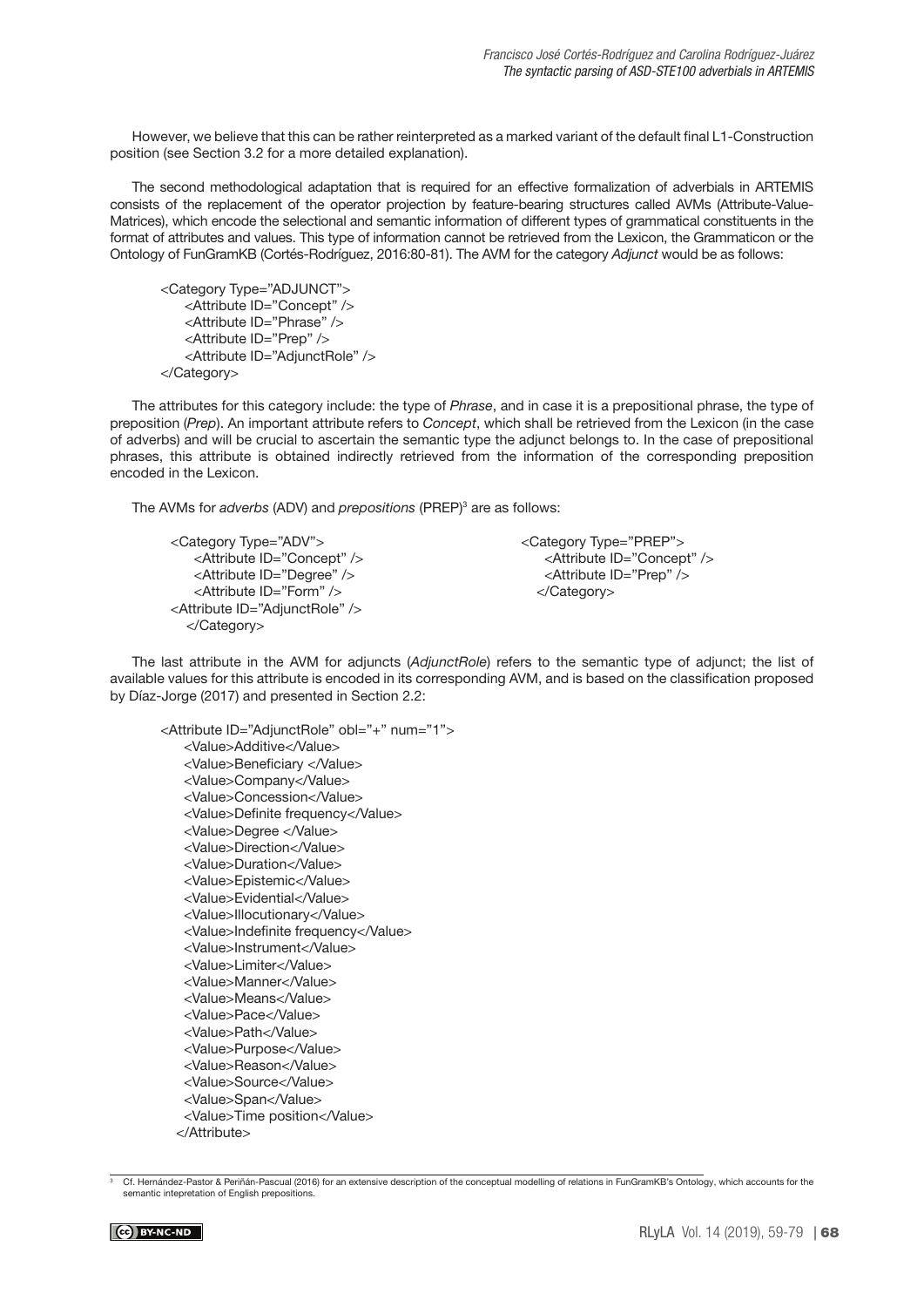However, we believe that this can be rather reinterpreted as a marked variant of the default final L1-Construction position (see Section 3.2 for a more detailed explanation).

The second methodological adaptation that is required for an effective formalization of adverbials in ARTEMIS consists of the replacement of the operator projection by feature-bearing structures called AVMs (Attribute-Value-Matrices), which encode the selectional and semantic information of different types of grammatical constituents in the format of attributes and values. This type of information cannot be retrieved from the Lexicon, the Grammaticon or the Ontology of FunGramKB (Cortés-Rodríguez, 2016:80-81). The AVM for the category Adjunct would be as follows:

```
<Category Type="ADJUNCT">
   <Attribute ID="Concept" /> 
   <Attribute ID="Phrase" />
   <Attribute ID="Prep" />
   <Attribute ID="AdjunctRole" />
</Category>
```
The attributes for this category include: the type of Phrase, and in case it is a prepositional phrase, the type of preposition (Prep). An important attribute refers to Concept, which shall be retrieved from the Lexicon (in the case of adverbs) and will be crucial to ascertain the semantic type the adjunct belongs to. In the case of prepositional phrases, this attribute is obtained indirectly retrieved from the information of the corresponding preposition encoded in the Lexicon.

The AVMs for adverbs (ADV) and prepositions (PREP)<sup>3</sup> are as follows:

```
<Category Type="ADV">
    <Attribute ID="Concept" />
    <Attribute ID="Degree" />
    <Attribute ID="Form" />
<Attribute ID="AdjunctRole" />
   </Category>
```
<Category Type="PREP"> <Attribute ID="Concept" /> <Attribute ID="Prep" /> </Category>

The last attribute in the AVM for adjuncts (AdjunctRole) refers to the semantic type of adjunct; the list of available values for this attribute is encoded in its corresponding AVM, and is based on the classification proposed by Díaz-Jorge (2017) and presented in Section 2.2:

<Attribute ID="AdjunctRole" obl="+" num="1"> <Value>Additive</Value> <Value>Beneficiary </Value> <Value>Company</Value> <Value>Concession</Value> <Value>Definite frequency</Value> <Value>Degree </Value> <Value>Direction</Value> <Value>Duration</Value> <Value>Epistemic</Value> <Value>Evidential</Value> <Value>Illocutionary</Value> <Value>Indefinite frequency</Value> <Value>Instrument</Value> <Value>Limiter</Value> <Value>Manner</Value> <Value>Means</Value> <Value>Pace</Value> <Value>Path</Value> <Value>Purpose</Value> <Value>Reason</Value> <Value>Source</Value> <Value>Span</Value> <Value>Time position</Value> </Attribute>

<sup>3</sup> Cf. Hernández-Pastor & Periñán-Pascual (2016) for an extensive description of the conceptual modelling of relations in FunGramKB's Ontology, which accounts for the semantic intepretation of English prepositions.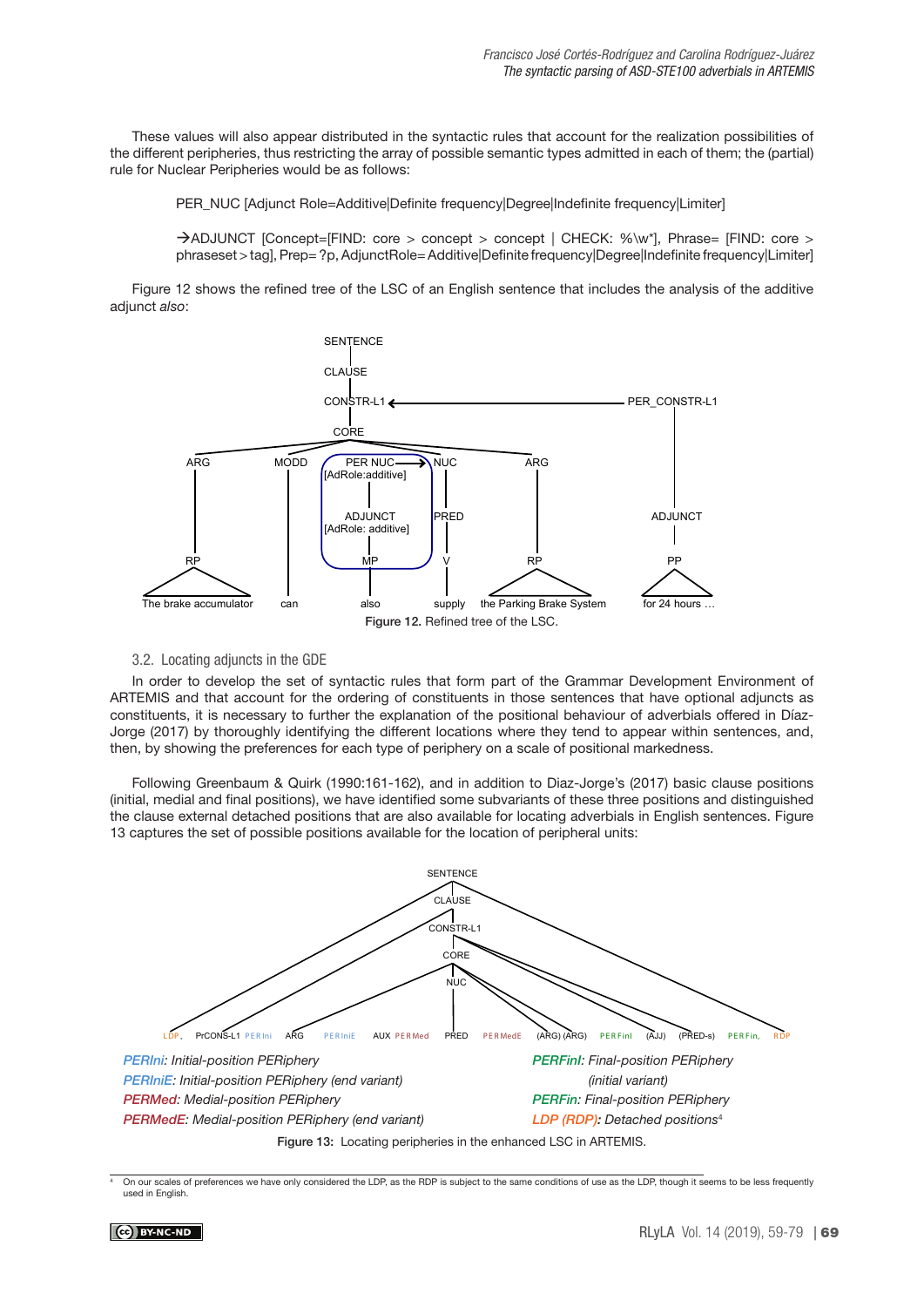These values will also appear distributed in the syntactic rules that account for the realization possibilities of the different peripheries, thus restricting the array of possible semantic types admitted in each of them; the (partial) rule for Nuclear Peripheries would be as follows:

PER\_NUC [Adjunct Role=Additive|Definite frequency|Degree|Indefinite frequency|Limiter]

àADJUNCT [Concept=[FIND: core > concept > concept | CHECK: %\w\*], Phrase= [FIND: core > phraseset > tag], Prep= ?p, AdjunctRole= Additive|Definite frequency|Degree|Indefinite frequency|Limiter]

Figure 12 shows the refined tree of the LSC of an English sentence that includes the analysis of the additive adiunct also:



## 3.2. Locating adjuncts in the GDE

In order to develop the set of syntactic rules that form part of the Grammar Development Environment of ARTEMIS and that account for the ordering of constituents in those sentences that have optional adjuncts as constituents, it is necessary to further the explanation of the positional behaviour of adverbials offered in Díaz-Jorge (2017) by thoroughly identifying the different locations where they tend to appear within sentences, and, then, by showing the preferences for each type of periphery on a scale of positional markedness.

Following Greenbaum & Quirk (1990:161-162), and in addition to Diaz-Jorge's (2017) basic clause positions (initial, medial and final positions), we have identified some subvariants of these three positions and distinguished the clause external detached positions that are also available for locating adverbials in English sentences. Figure 13 captures the set of possible positions available for the location of peripheral units:



On our scales of preferences we have only considered the LDP, as the RDP is subject to the same conditions of use as the LDP, though it seems to be less frequently used in English.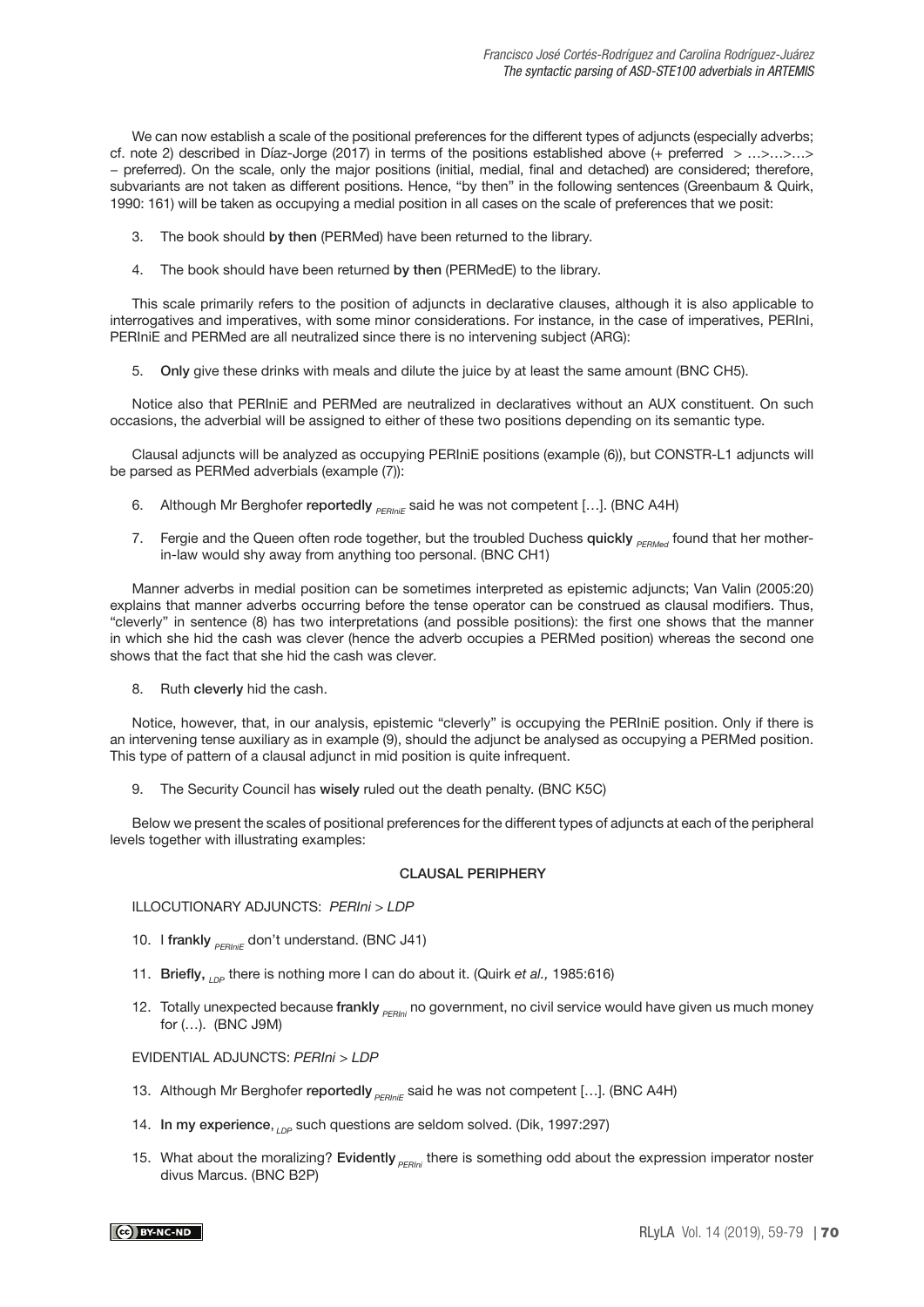We can now establish a scale of the positional preferences for the different types of adjuncts (especially adverbs; cf. note 2) described in Díaz-Jorge (2017) in terms of the positions established above (+ preferred > …>…>…> − preferred). On the scale, only the major positions (initial, medial, final and detached) are considered; therefore, subvariants are not taken as different positions. Hence, "by then" in the following sentences (Greenbaum & Quirk, 1990: 161) will be taken as occupying a medial position in all cases on the scale of preferences that we posit:

- 3. The book should by then (PERMed) have been returned to the library.
- 4. The book should have been returned by then (PERMedE) to the library.

This scale primarily refers to the position of adjuncts in declarative clauses, although it is also applicable to interrogatives and imperatives, with some minor considerations. For instance, in the case of imperatives, PERIni, PERIniE and PERMed are all neutralized since there is no intervening subject (ARG):

5. Only give these drinks with meals and dilute the juice by at least the same amount (BNC CH5).

Notice also that PERIniE and PERMed are neutralized in declaratives without an AUX constituent. On such occasions, the adverbial will be assigned to either of these two positions depending on its semantic type.

Clausal adjuncts will be analyzed as occupying PERIniE positions (example (6)), but CONSTR-L1 adjuncts will be parsed as PERMed adverbials (example (7)):

- 6. Although Mr Berghofer reportedly  $_{PFR/inf}$  said he was not competent [...]. (BNC A4H)
- 7. Fergie and the Queen often rode together, but the troubled Duchess quickly **PERMAG found that her mother**in-law would shy away from anything too personal. (BNC CH1)

Manner adverbs in medial position can be sometimes interpreted as epistemic adjuncts; Van Valin (2005:20) explains that manner adverbs occurring before the tense operator can be construed as clausal modifiers. Thus, "cleverly" in sentence (8) has two interpretations (and possible positions): the first one shows that the manner in which she hid the cash was clever (hence the adverb occupies a PERMed position) whereas the second one shows that the fact that she hid the cash was clever.

8. Ruth cleverly hid the cash.

Notice, however, that, in our analysis, epistemic "cleverly" is occupying the PERIniE position. Only if there is an intervening tense auxiliary as in example (9), should the adjunct be analysed as occupying a PERMed position. This type of pattern of a clausal adjunct in mid position is quite infrequent.

9. The Security Council has wisely ruled out the death penalty. (BNC K5C)

Below we present the scales of positional preferences for the different types of adjuncts at each of the peripheral levels together with illustrating examples:

## CLAUSAL PERIPHERY

ILLOCUTIONARY ADJUNCTS: PERIni > LDP

- 10. I frankly  $_{\text{pephif}}$  don't understand. (BNC J41)
- 11. Briefly,  $_{LDP}$  there is nothing more I can do about it. (Quirk et al., 1985:616)
- 12. Totally unexpected because frankly <sub>PERIni</sub> no government, no civil service would have given us much money for (…). (BNC J9M)

EVIDENTIAL ADJUNCTS: PERIni > LDP

- 13. Although Mr Berghofer reportedly **PERINIE Said he was not competent [...]**. (BNC A4H)
- 14. In my experience,  $_{\text{LDP}}$  such questions are seldom solved. (Dik, 1997:297)
- 15. What about the moralizing? Evidently  $_{PFRIni}$  there is something odd about the expression imperator noster divus Marcus. (BNC B2P)

 $\left(\text{cc}\right)$  BY-NC-ND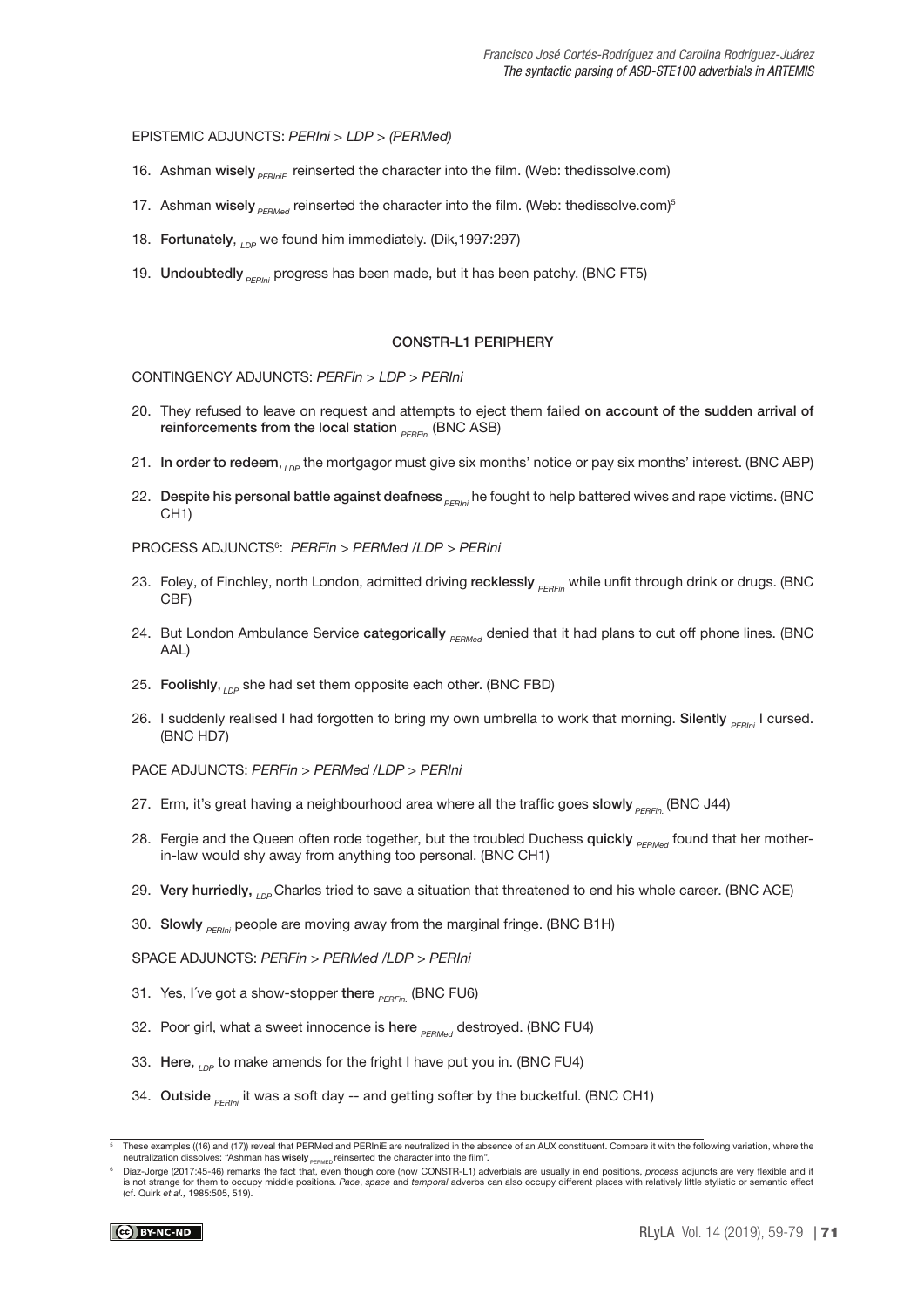### EPISTEMIC ADJUNCTS: PERIni > LDP > (PERMed)

- 16. Ashman wisely  $P_{ERInIE}$  reinserted the character into the film. (Web: thedissolve.com)
- 17. Ashman wisely  $_{PEMed}$  reinserted the character into the film. (Web: thedissolve.com)<sup>5</sup>
- 18. Fortunately, <sub>LDP</sub> we found him immediately. (Dik,1997:297)
- 19. Undoubtedly  $_{\text{PEPini}}$  progress has been made, but it has been patchy. (BNC FT5)

#### CONSTR-L1 PERIPHERY

CONTINGENCY ADJUNCTS: PERFin > LDP > PERIni

- 20. They refused to leave on request and attempts to eject them failed on account of the sudden arrival of reinforcements from the local station  $_{PERFin}$  (BNC ASB)
- 21. In order to redeem, <sub>LDP</sub> the mortgagor must give six months' notice or pay six months' interest. (BNC ABP)
- 22. Despite his personal battle against deafness  $_{PERlin}$  he fought to help battered wives and rape victims. (BNC CH1)

PROCESS ADJUNCTS6 : PERFin > PERMed /LDP > PERIni

- 23. Foley, of Finchley, north London, admitted driving recklessly <sub>PERFin</sub> while unfit through drink or drugs. (BNC CBF)
- 24. But London Ambulance Service categorically **PERMed** denied that it had plans to cut off phone lines. (BNC AAL)
- 25. Foolishly, <sub>LDP</sub> she had set them opposite each other. (BNC FBD)
- 26. I suddenly realised I had forgotten to bring my own umbrella to work that morning. Silently <sub>PERIni</sub> I cursed. (BNC HD7)
- PACE ADJUNCTS: PERFin > PERMed /LDP > PERIni
- 27. Erm, it's great having a neighbourhood area where all the traffic goes slowly <sub>PERFIn</sub> (BNC J44)
- 28. Fergie and the Queen often rode together, but the troubled Duchess quickly **PERMACY** found that her motherin-law would shy away from anything too personal. (BNC CH1)
- 29. Very hurriedly,  $_{LDP}$  Charles tried to save a situation that threatened to end his whole career. (BNC ACE)
- 30. Slowly  $_{PFRini}$  people are moving away from the marginal fringe. (BNC B1H)

SPACE ADJUNCTS: PERFin > PERMed /LDP > PERIni

- 31. Yes, I've got a show-stopper there  $_{p_{EDE_{in}}}$  (BNC FU6)
- 32. Poor girl, what a sweet innocence is here  $_{PERMed}$  destroyed. (BNC FU4)
- 33. Here,  $_{LDP}$  to make amends for the fright I have put you in. (BNC FU4)
- 34. Outside  $_{PFRini}$  it was a soft day -- and getting softer by the bucketful. (BNC CH1)

These examples ((16) and (17)) reveal that PERMed and PERIniE are neutralized in the absence of an AUX constituent. Compare it with the following variation, where the neutralization dissolves: "Ashman has wisely **PERMED** reinserted the character into the film"

Díaz-Jorge (2017:45-46) remarks the fact that, even though core (now CONSTR-L1) adverbials are usually in end positions, process adjuncts are very flexible and it is not strange for them to occupy middle positions. Pace, space and temporal adverbs can also occupy different places with relatively little stylistic or semantic effect (cf. Quirk et al., 1985:505, 519).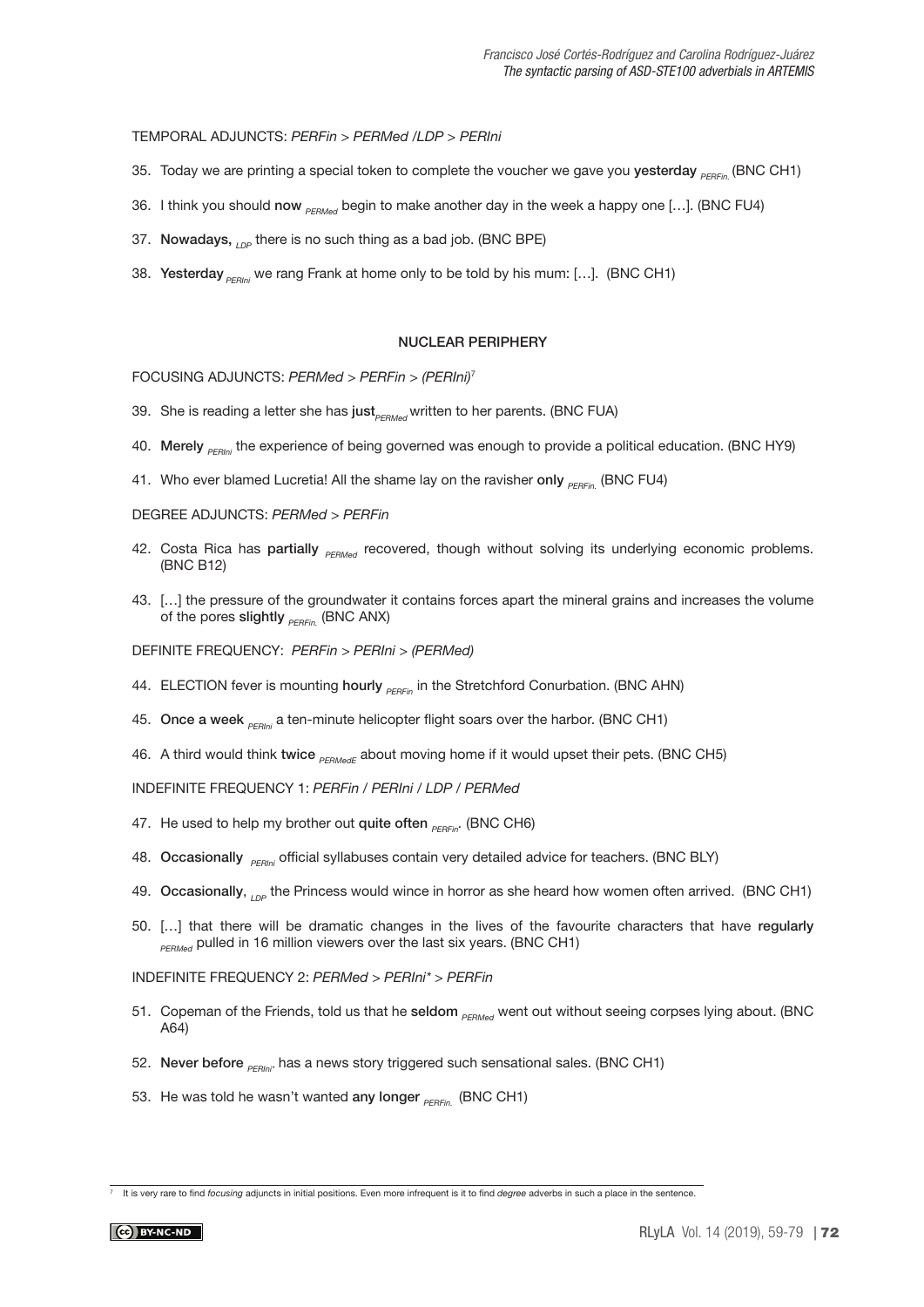TEMPORAL ADJUNCTS: PERFin > PERMed /LDP > PERIni

- 35. Today we are printing a special token to complete the voucher we gave you yesterday  $_{PFEin}$  (BNC CH1)
- 36. I think you should now  $_{PFRMert}$  begin to make another day in the week a happy one [...]. (BNC FU4)
- 37. Nowadays,  $_{\text{LDP}}$  there is no such thing as a bad job. (BNC BPE)
- 38. Yesterday  $_{\text{SEPIn}}$  we rang Frank at home only to be told by his mum: [...]. (BNC CH1)

#### NUCLEAR PERIPHERY

FOCUSING ADJUNCTS: PERMed > PERFin > (PERIni)<sup>7</sup>

- 39. She is reading a letter she has just<sub>PERMed</sub> written to her parents. (BNC FUA)
- 40. Merely **PERING TO EXAMPT EXAMPTER 10** HOLO THE EXPORENT ARD THE EXPORT HOMOTHY ARD HOLO HYPS
- 41. Who ever blamed Lucretia! All the shame lay on the ravisher only  $_{PERFin}$  (BNC FU4)

DEGREE ADJUNCTS: PERMed > PERFin

- 42. Costa Rica has partially **PERMed** recovered, though without solving its underlying economic problems. (BNC B12)
- 43. […] the pressure of the groundwater it contains forces apart the mineral grains and increases the volume of the pores slightly  $_{PEPE_{in}}$  (BNC ANX)

DEFINITE FREQUENCY: PERFin > PERIni > (PERMed)

- 44. ELECTION fever is mounting hourly <sub>PERFin</sub> in the Stretchford Conurbation. (BNC AHN)
- 45. Once a week  $_{PEHini}$  a ten-minute helicopter flight soars over the harbor. (BNC CH1)
- 46. A third would think twice  $_{PFRMedE}$  about moving home if it would upset their pets. (BNC CH5)

INDEFINITE FREQUENCY 1: PERFin / PERIni / LDP / PERMed

- 47. He used to help my brother out quite often  $_{DEDEn}$ . (BNC CH6)
- 48. Occasionally  $_{\text{PENIN}}$  official syllabuses contain very detailed advice for teachers. (BNC BLY)
- 49. Occasionally,  $\Omega_{\rm DE}$  the Princess would wince in horror as she heard how women often arrived. (BNC CH1)
- 50. […] that there will be dramatic changes in the lives of the favourite characters that have regularly **PERMed** pulled in 16 million viewers over the last six years. (BNC CH1)

INDEFINITE FREQUENCY 2: PERMed > PERIni\* > PERFin

- 51. Copeman of the Friends, told us that he seldom **PERMAC** went out without seeing corpses lying about. (BNC A64)
- 52. Never before  $_{PFRIni*}$  has a news story triggered such sensational sales. (BNC CH1)
- 53. He was told he wasn't wanted any longer  $_{PFEF_{in}}$  (BNC CH1)

 $\frac{7}{1}$  It is very rare to find focusing adjuncts in initial positions. Even more infrequent is it to find degree adverbs in such a place in the sentence.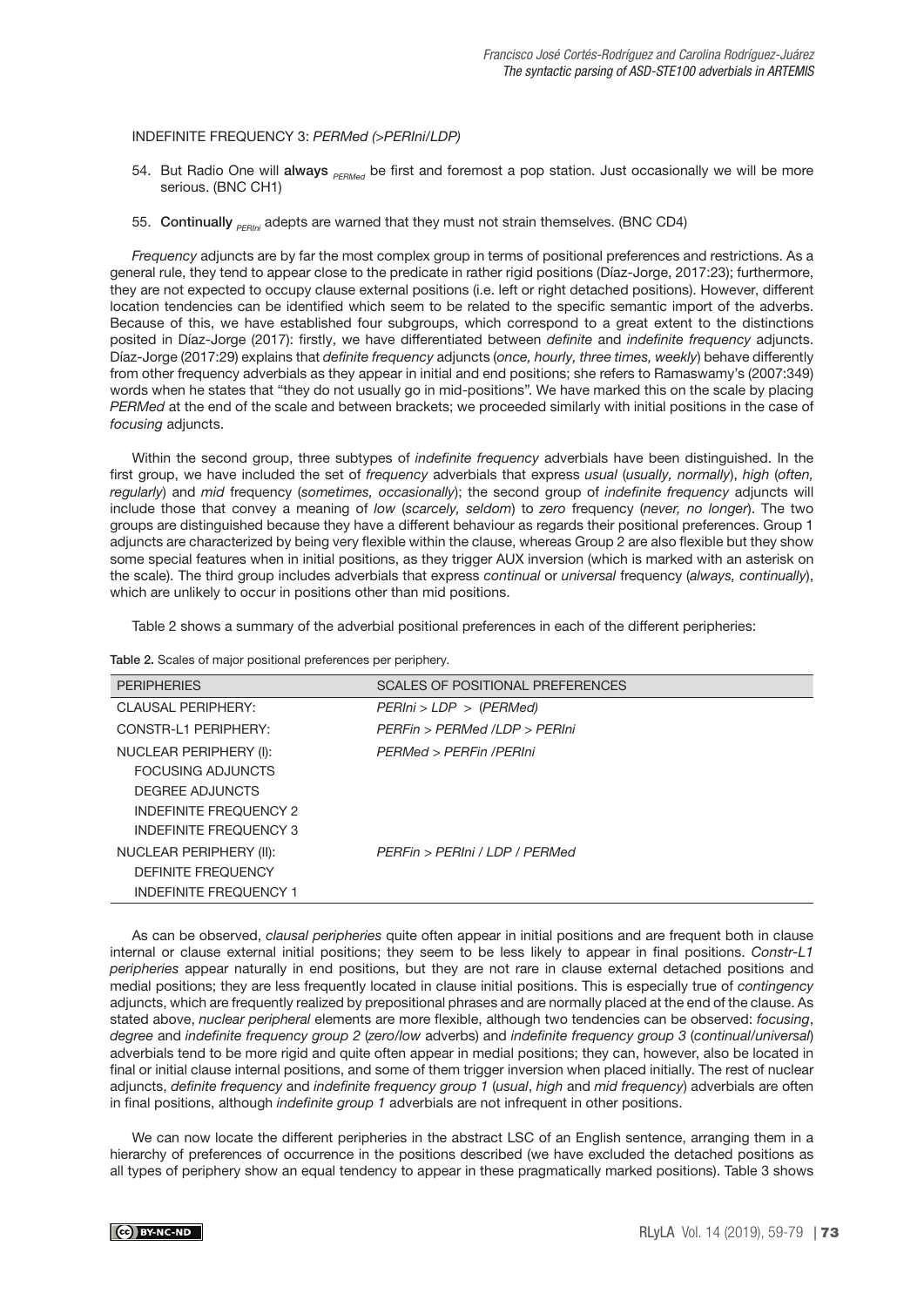### INDEFINITE FREQUENCY 3: PERMed (>PERIni/LDP)

- 54. But Radio One will always  $P_{FEMed}$  be first and foremost a pop station. Just occasionally we will be more serious. (BNC CH1)
- 55. Continually  $_{PERlin}$  adepts are warned that they must not strain themselves. (BNC CD4)

Frequency adjuncts are by far the most complex group in terms of positional preferences and restrictions. As a general rule, they tend to appear close to the predicate in rather rigid positions (Díaz-Jorge, 2017:23); furthermore, they are not expected to occupy clause external positions (i.e. left or right detached positions). However, different location tendencies can be identified which seem to be related to the specific semantic import of the adverbs. Because of this, we have established four subgroups, which correspond to a great extent to the distinctions posited in Díaz-Jorge (2017): firstly, we have differentiated between *definite* and *indefinite frequency* adjuncts. Díaz-Jorge (2017:29) explains that definite frequency adjuncts (once, hourly, three times, weekly) behave differently from other frequency adverbials as they appear in initial and end positions; she refers to Ramaswamy's (2007:349) words when he states that "they do not usually go in mid-positions". We have marked this on the scale by placing PERMed at the end of the scale and between brackets; we proceeded similarly with initial positions in the case of focusing adjuncts.

Within the second group, three subtypes of *indefinite frequency* adverbials have been distinguished. In the first group, we have included the set of frequency adverbials that express usual (usually, normally), high (often, regularly) and mid frequency (sometimes, occasionally); the second group of indefinite frequency adjuncts will include those that convey a meaning of low (scarcely, seldom) to zero frequency (never, no longer). The two groups are distinguished because they have a different behaviour as regards their positional preferences. Group 1 adjuncts are characterized by being very flexible within the clause, whereas Group 2 are also flexible but they show some special features when in initial positions, as they trigger AUX inversion (which is marked with an asterisk on the scale). The third group includes adverbials that express continual or universal frequency (always, continually), which are unlikely to occur in positions other than mid positions.

Table 2 shows a summary of the adverbial positional preferences in each of the different peripheries:

Table 2. Scales of major positional preferences per periphery.

| <b>PERIPHERIES</b>            | SCALES OF POSITIONAL PREFERENCES |  |  |  |  |
|-------------------------------|----------------------------------|--|--|--|--|
| <b>CLAUSAL PERIPHERY:</b>     | PERIni > LDP > (PERMed)          |  |  |  |  |
| CONSTR-11 PERIPHERY:          | PFRFin > PFRMed /I DP > PFRIni   |  |  |  |  |
| NUCLEAR PERIPHERY (I):        | PERMed > PERFin /PERIni          |  |  |  |  |
| <b>FOCUSING ADJUNCTS</b>      |                                  |  |  |  |  |
| DEGREE ADJUNCTS               |                                  |  |  |  |  |
| <b>INDEFINITE FREQUENCY 2</b> |                                  |  |  |  |  |
| INDEFINITE FREQUENCY 3        |                                  |  |  |  |  |
| NUCLEAR PERIPHERY (II):       | PFRFin > PFRIni / I DP / PFRMed  |  |  |  |  |
| <b>DEFINITE FREQUENCY</b>     |                                  |  |  |  |  |
| <b>INDEFINITE FREQUENCY 1</b> |                                  |  |  |  |  |

As can be observed, clausal peripheries quite often appear in initial positions and are frequent both in clause internal or clause external initial positions; they seem to be less likely to appear in final positions. Constr-L1 peripheries appear naturally in end positions, but they are not rare in clause external detached positions and medial positions; they are less frequently located in clause initial positions. This is especially true of contingency adjuncts, which are frequently realized by prepositional phrases and are normally placed at the end of the clause. As stated above, nuclear peripheral elements are more flexible, although two tendencies can be observed: focusing, degree and indefinite frequency group 2 (zero/low adverbs) and indefinite frequency group 3 (continual/universal) adverbials tend to be more rigid and quite often appear in medial positions; they can, however, also be located in final or initial clause internal positions, and some of them trigger inversion when placed initially. The rest of nuclear adjuncts, definite frequency and indefinite frequency group 1 (usual, high and mid frequency) adverbials are often in final positions, although *indefinite group 1* adverbials are not infrequent in other positions.

We can now locate the different peripheries in the abstract LSC of an English sentence, arranging them in a hierarchy of preferences of occurrence in the positions described (we have excluded the detached positions as all types of periphery show an equal tendency to appear in these pragmatically marked positions). Table 3 shows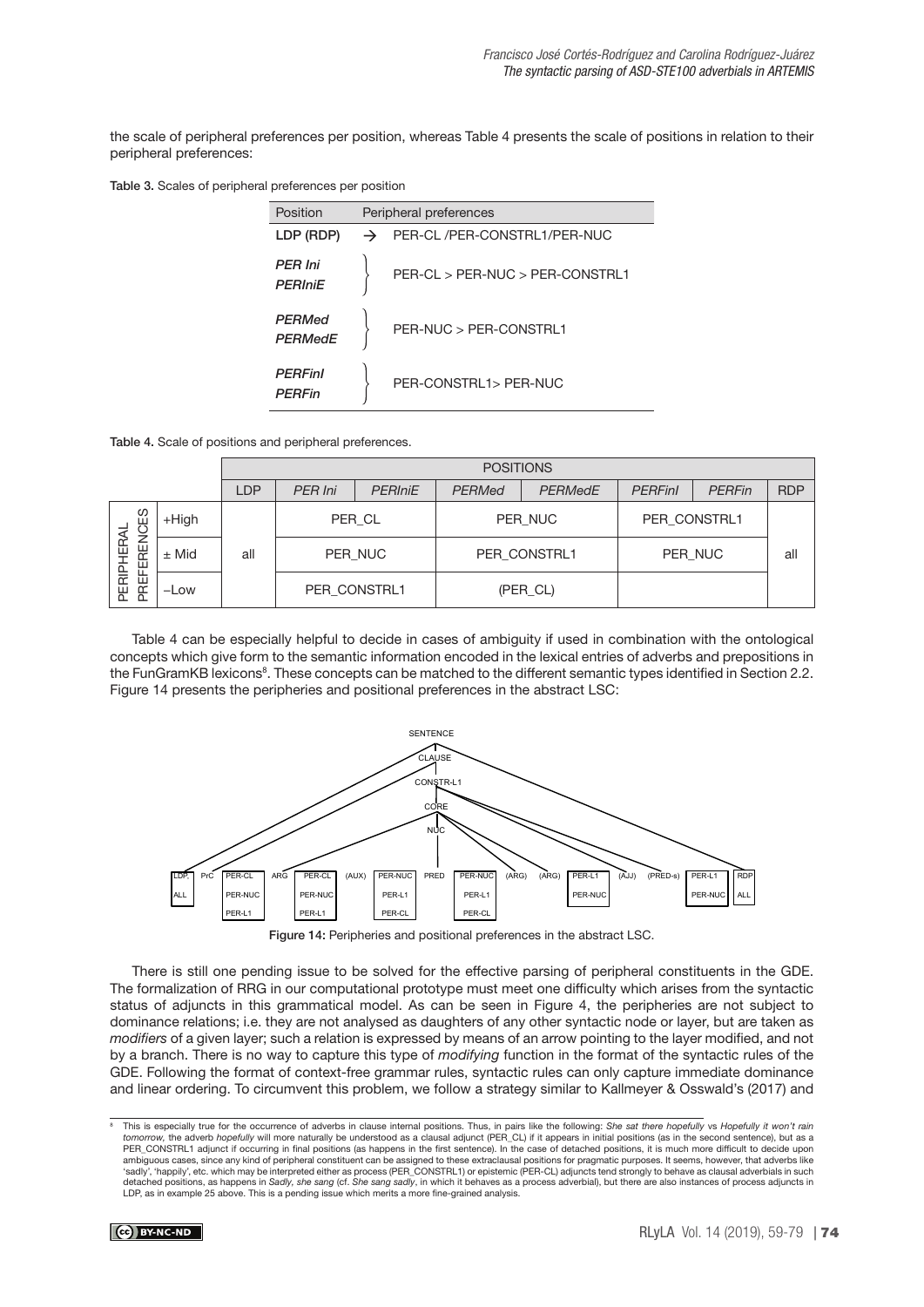the scale of peripheral preferences per position, whereas Table 4 presents the scale of positions in relation to their peripheral preferences:

Table 3. Scales of peripheral preferences per position

| Position                         | Peripheral preferences |                                 |  |  |
|----------------------------------|------------------------|---------------------------------|--|--|
| LDP (RDP)                        | →                      | PER-CL /PER-CONSTRL1/PER-NUC    |  |  |
| <b>PER Ini</b><br><b>PERIniE</b> |                        | PER-CL > PER-NUC > PER-CONSTRL1 |  |  |
| PERMed<br><b>PERMedE</b>         |                        | PFR-NUC > PFR-CONSTRU1          |  |  |
| <b>PERFinl</b><br><b>PFRFin</b>  |                        | PER-CONSTRL1> PER-NUC           |  |  |

Table 4. Scale of positions and peripheral preferences.

|                                  |          | <b>POSITIONS</b> |                |                |               |                |                |               |            |
|----------------------------------|----------|------------------|----------------|----------------|---------------|----------------|----------------|---------------|------------|
|                                  |          | LDP              | <b>PER Ini</b> | <b>PERIniE</b> | <b>PERMed</b> | <b>PERMedE</b> | <b>PERFinl</b> | <b>PERFin</b> | <b>RDP</b> |
| CES<br>REN<br>ÆR<br>ш            | $+$ High |                  | PER CL         |                | PER NUC       |                | PER CONSTRL1   |               |            |
|                                  | $±$ Mid  | all              | PER NUC        |                | PER CONSTRL1  |                | PER NUC        |               | all        |
| PERIPH<br>$\mathbf{L}$<br>뿓<br>n | $-Low$   |                  | PER CONSTRL1   |                | (PER_CL)      |                |                |               |            |

Table 4 can be especially helpful to decide in cases of ambiguity if used in combination with the ontological concepts which give form to the semantic information encoded in the lexical entries of adverbs and prepositions in the FunGramKB lexicons<sup>8</sup>. These concepts can be matched to the different semantic types identified in Section 2.2. Figure 14 presents the peripheries and positional preferences in the abstract LSC:



Figure 14: Peripheries and positional preferences in the abstract LSC.

There is still one pending issue to be solved for the effective parsing of peripheral constituents in the GDE. The formalization of RRG in our computational prototype must meet one difficulty which arises from the syntactic status of adjuncts in this grammatical model. As can be seen in Figure 4, the peripheries are not subject to dominance relations; i.e. they are not analysed as daughters of any other syntactic node or layer, but are taken as modifiers of a given layer; such a relation is expressed by means of an arrow pointing to the layer modified, and not by a branch. There is no way to capture this type of modifying function in the format of the syntactic rules of the GDE. Following the format of context-free grammar rules, syntactic rules can only capture immediate dominance and linear ordering. To circumvent this problem, we follow a strategy similar to Kallmeyer & Osswald's (2017) and

<sup>&</sup>lt;sup>8</sup> This is especially true for the occurrence of adverbs in clause internal positions. Thus, in pairs like the following: She sat there hopefully vs Hopefully it won't rain<br>tomorrow, the adverb hopefully will more natural PER\_CONSTRL1 adjunct if occurring in final positions (as happens in the first sentence). In the case of detached positions, it is much more difficult to decide upon ambiguous cases, since any kind of peripheral constituent can be assigned to these extraclausal positions for pragmatic purposes. It seems, however, that adverbs like 'sadly', 'happily', etc. which may be interpreted either as process (PER\_CONSTRL1) or epistemic (PER-CL) adjuncts tend strongly to behave as clausal adverbials in such detached positions, as happens in S*adly, she sang (cf. She sang sadly,* in which it behaves as a process adverbial), but there are also instances of process adjuncts in<br>LDP, as in example 25 above. This is a pending issue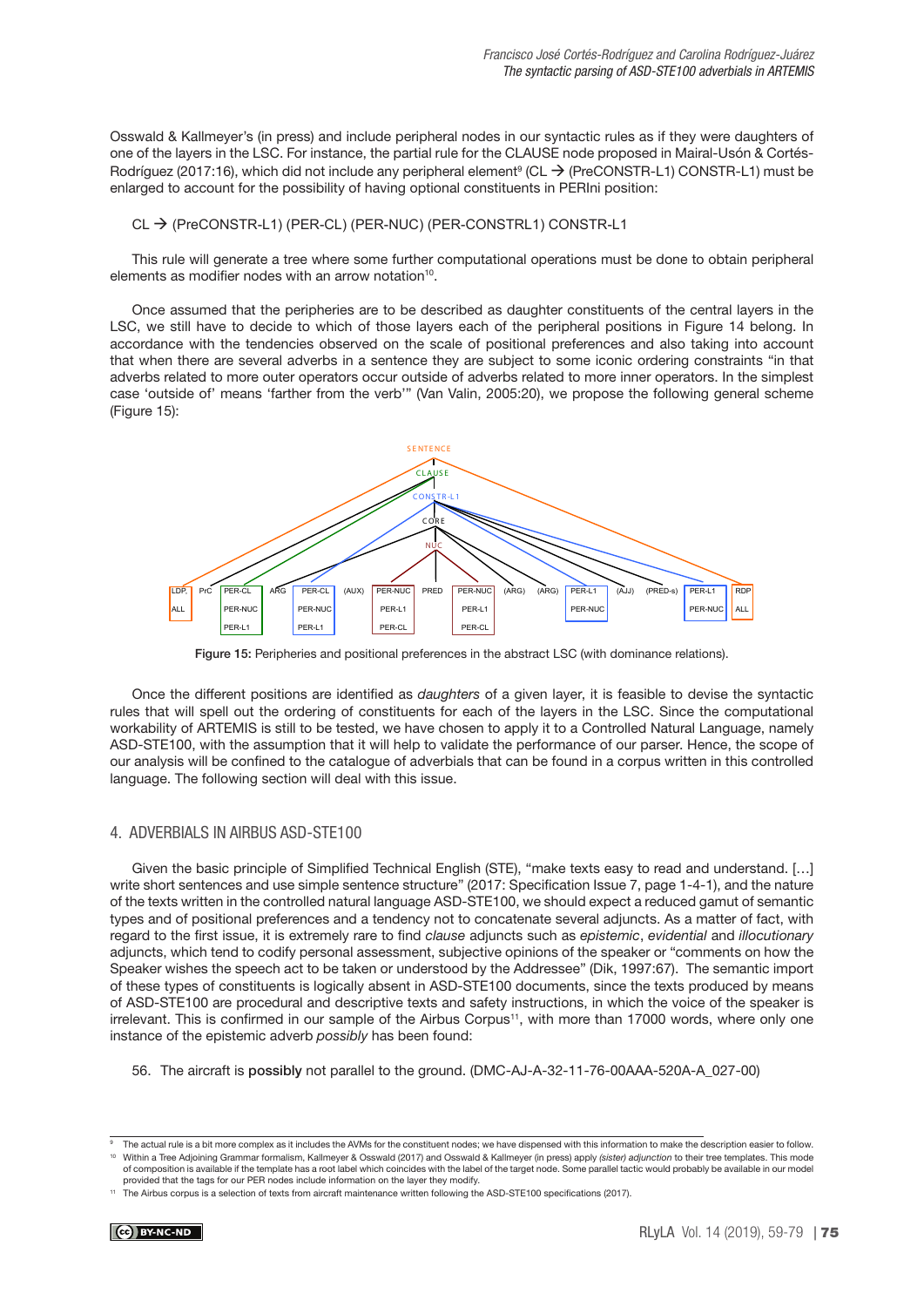Osswald & Kallmeyer's (in press) and include peripheral nodes in our syntactic rules as if they were daughters of one of the layers in the LSC. For instance, the partial rule for the CLAUSE node proposed in Mairal-Usón & Cortés-Rodríguez (2017:16), which did not include any peripheral element<sup>9</sup> (CL  $\rightarrow$  (PreCONSTR-L1) CONSTR-L1) must be enlarged to account for the possibility of having optional constituents in PERIni position:

#### CL → (PreCONSTR-L1) (PER-CL) (PER-NUC) (PER-CONSTRL1) CONSTR-L1

This rule will generate a tree where some further computational operations must be done to obtain peripheral elements as modifier nodes with an arrow notation<sup>10</sup>.

Once assumed that the peripheries are to be described as daughter constituents of the central layers in the LSC, we still have to decide to which of those layers each of the peripheral positions in Figure 14 belong. In accordance with the tendencies observed on the scale of positional preferences and also taking into account that when there are several adverbs in a sentence they are subject to some iconic ordering constraints "in that adverbs related to more outer operators occur outside of adverbs related to more inner operators. In the simplest case 'outside of' means 'farther from the verb'" (Van Valin, 2005:20), we propose the following general scheme (Figure 15):



Figure 15: Peripheries and positional preferences in the abstract LSC (with dominance relations).

Once the different positions are identified as *daughters* of a given layer, it is feasible to devise the syntactic rules that will spell out the ordering of constituents for each of the layers in the LSC. Since the computational workability of ARTEMIS is still to be tested, we have chosen to apply it to a Controlled Natural Language, namely ASD-STE100, with the assumption that it will help to validate the performance of our parser. Hence, the scope of our analysis will be confined to the catalogue of adverbials that can be found in a corpus written in this controlled language. The following section will deal with this issue.

### 4. ADVERBIALS IN AIRBUS ASD-STE100

Given the basic principle of Simplified Technical English (STE), "make texts easy to read and understand. […] write short sentences and use simple sentence structure" (2017: Specification Issue 7, page 1-4-1), and the nature of the texts written in the controlled natural language ASD-STE100, we should expect a reduced gamut of semantic types and of positional preferences and a tendency not to concatenate several adjuncts. As a matter of fact, with regard to the first issue, it is extremely rare to find clause adjuncts such as epistemic, evidential and illocutionary adjuncts, which tend to codify personal assessment, subjective opinions of the speaker or "comments on how the Speaker wishes the speech act to be taken or understood by the Addressee" (Dik, 1997:67). The semantic import of these types of constituents is logically absent in ASD-STE100 documents, since the texts produced by means of ASD-STE100 are procedural and descriptive texts and safety instructions, in which the voice of the speaker is irrelevant. This is confirmed in our sample of the Airbus Corpus<sup>11</sup>, with more than 17000 words, where only one instance of the epistemic adverb possibly has been found:

56. The aircraft is possibly not parallel to the ground. (DMC-AJ-A-32-11-76-00AAA-520A-A\_027-00)

The actual rule is a bit more complex as it includes the AVMs for the constituent nodes; we have dispensed with this information to make the description easier to follow. Within a Tree Adjoining Grammar formalism, Kallmeyer & Osswald (2017) and Osswald & Kallmeyer (in press) apply (sister) adjunction to their tree templates. This mode of composition is available if the template has a root label which coincides with the label of the target node. Some parallel tactic would probably be available in our model provided that the tags for our PER nodes include information on the layer they modify.

<sup>11</sup> The Airbus corpus is a selection of texts from aircraft maintenance written following the ASD-STE100 specifications (2017).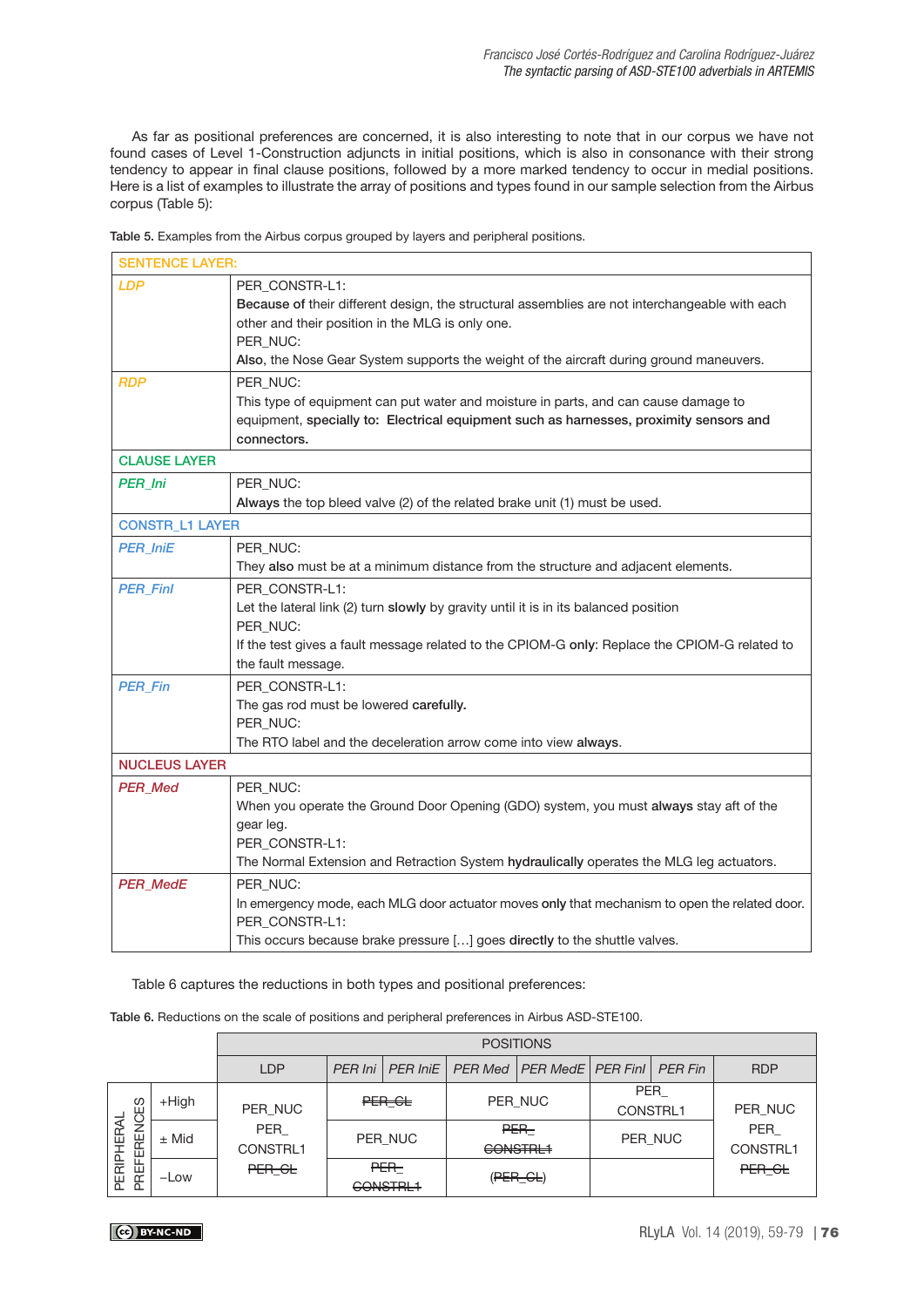As far as positional preferences are concerned, it is also interesting to note that in our corpus we have not found cases of Level 1-Construction adjuncts in initial positions, which is also in consonance with their strong tendency to appear in final clause positions, followed by a more marked tendency to occur in medial positions. Here is a list of examples to illustrate the array of positions and types found in our sample selection from the Airbus corpus (Table 5):

| <b>SENTENCE LAYER:</b> |                                                                                                                                                                                                                                                                             |
|------------------------|-----------------------------------------------------------------------------------------------------------------------------------------------------------------------------------------------------------------------------------------------------------------------------|
| <b>LDP</b>             | PER CONSTR-L1:<br>Because of their different design, the structural assemblies are not interchangeable with each<br>other and their position in the MLG is only one.<br>PER_NUC:<br>Also, the Nose Gear System supports the weight of the aircraft during ground maneuvers. |
| <b>RDP</b>             | PER NUC:<br>This type of equipment can put water and moisture in parts, and can cause damage to<br>equipment, specially to: Electrical equipment such as harnesses, proximity sensors and<br>connectors.                                                                    |
| <b>CLAUSE LAYER</b>    |                                                                                                                                                                                                                                                                             |
| <b>PER Ini</b>         | PER NUC:<br>Always the top bleed valve (2) of the related brake unit (1) must be used.                                                                                                                                                                                      |
| <b>CONSTR_L1 LAYER</b> |                                                                                                                                                                                                                                                                             |
| <b>PER IniE</b>        | PER_NUC:<br>They also must be at a minimum distance from the structure and adjacent elements.                                                                                                                                                                               |
| <b>PER_Finl</b>        | PER_CONSTR-L1:<br>Let the lateral link (2) turn slowly by gravity until it is in its balanced position<br>PER_NUC:<br>If the test gives a fault message related to the CPIOM-G only: Replace the CPIOM-G related to<br>the fault message.                                   |
| <b>PER_Fin</b>         | PER_CONSTR-L1:<br>The gas rod must be lowered carefully.<br>PER_NUC:<br>The RTO label and the deceleration arrow come into view always.                                                                                                                                     |
| <b>NUCLEUS LAYER</b>   |                                                                                                                                                                                                                                                                             |
| <b>PER_Med</b>         | PER NUC:<br>When you operate the Ground Door Opening (GDO) system, you must always stay aft of the<br>gear leg.<br>PER_CONSTR-L1:<br>The Normal Extension and Retraction System hydraulically operates the MLG leg actuators.                                               |
| <b>PER_MedE</b>        | PER_NUC:<br>In emergency mode, each MLG door actuator moves only that mechanism to open the related door.<br>PER_CONSTR-L1:<br>This occurs because brake pressure [] goes directly to the shuttle valves.                                                                   |

Table 5. Examples from the Airbus corpus grouped by layers and peripheral positions.

Table 6 captures the reductions in both types and positional preferences:

Table 6. Reductions on the scale of positions and peripheral preferences in Airbus ASD-STE100.

|                                                      |                     | <b>POSITIONS</b>                     |           |                              |                             |                              |                                   |                |                                      |
|------------------------------------------------------|---------------------|--------------------------------------|-----------|------------------------------|-----------------------------|------------------------------|-----------------------------------|----------------|--------------------------------------|
|                                                      |                     | <b>LDP</b>                           | $PER$ Ini | <b>PER IniE</b>              | <b>PER Med</b>              | <b>PER MedE   PER FinI  </b> |                                   | <b>PER Fin</b> | <b>RDP</b>                           |
| က္မ<br>ERENC<br><b>HERAL</b><br>할<br>щ<br>PERI<br>臣名 | $+$ High<br>$±$ Mid | PER NUC<br>PER<br>CONSTRL1<br>PER GL |           | PER CL<br>PER NUC            | PER NUC<br>PER-<br>GONSTRL1 |                              | <b>PER</b><br>CONSTRL1<br>PER_NUC |                | PER NUC<br>PER<br>CONSTRL1<br>PER GL |
|                                                      | $-Low$              |                                      |           | PER-<br>GONSTRL <sub>1</sub> | $(PER - GL)$                |                              |                                   |                |                                      |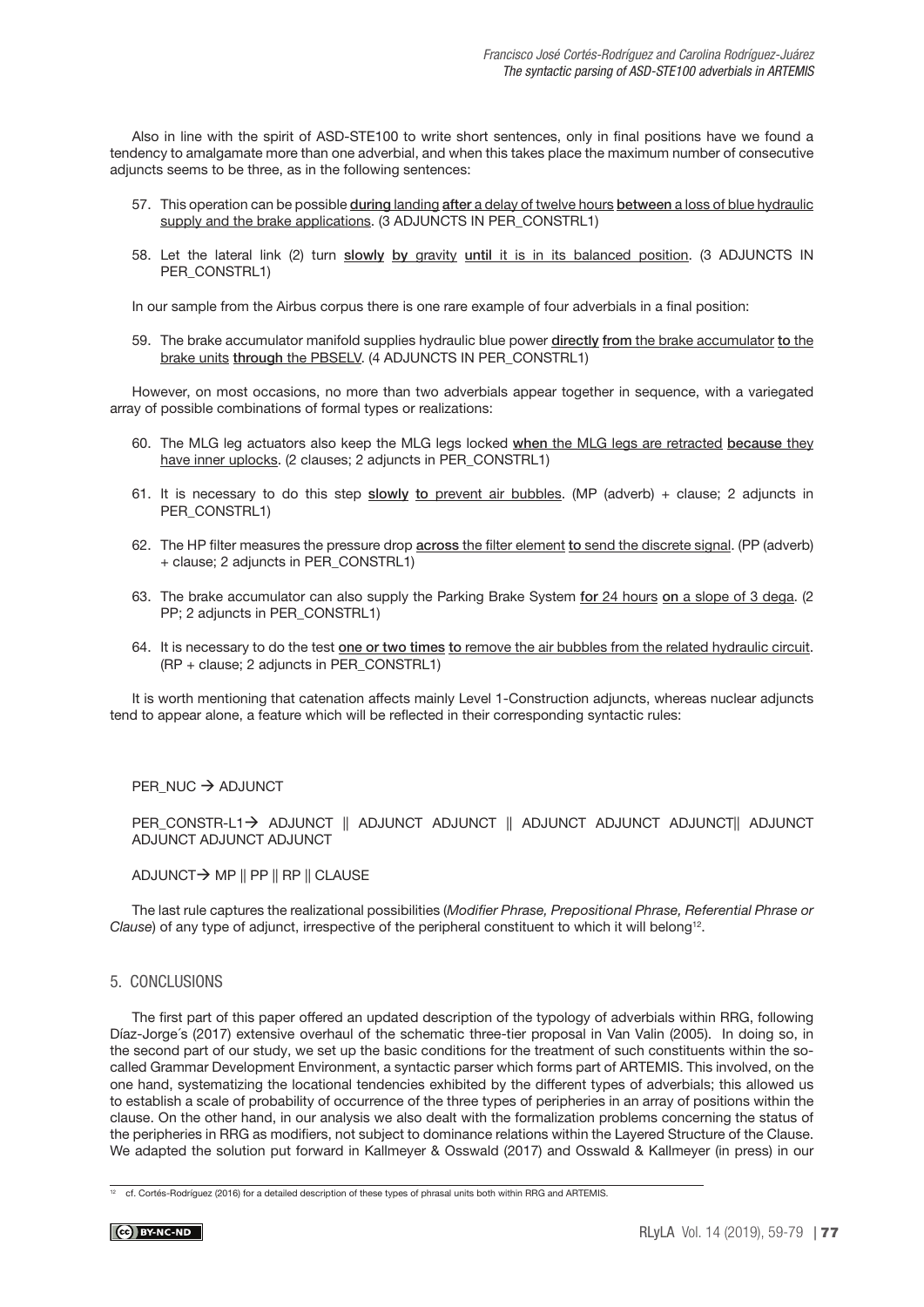Also in line with the spirit of ASD-STE100 to write short sentences, only in final positions have we found a tendency to amalgamate more than one adverbial, and when this takes place the maximum number of consecutive adjuncts seems to be three, as in the following sentences:

- 57. This operation can be possible during landing after a delay of twelve hours between a loss of blue hydraulic supply and the brake applications. (3 ADJUNCTS IN PER\_CONSTRL1)
- 58. Let the lateral link (2) turn slowly by gravity until it is in its balanced position. (3 ADJUNCTS IN PER\_CONSTRL1)

In our sample from the Airbus corpus there is one rare example of four adverbials in a final position:

59. The brake accumulator manifold supplies hydraulic blue power directly from the brake accumulator to the brake units through the PBSELV. (4 ADJUNCTS IN PER\_CONSTRL1)

However, on most occasions, no more than two adverbials appear together in sequence, with a variegated array of possible combinations of formal types or realizations:

- 60. The MLG leg actuators also keep the MLG legs locked when the MLG legs are retracted because they have inner uplocks. (2 clauses; 2 adjuncts in PER\_CONSTRL1)
- 61. It is necessary to do this step slowly to prevent air bubbles. (MP (adverb) + clause; 2 adjuncts in PER\_CONSTRL1)
- 62. The HP filter measures the pressure drop **across the filter element to send the discrete signal**. (PP (adverb) + clause; 2 adjuncts in PER\_CONSTRL1)
- 63. The brake accumulator can also supply the Parking Brake System for 24 hours on a slope of 3 dega. (2) PP; 2 adjuncts in PER\_CONSTRL1)
- 64. It is necessary to do the test one or two times to remove the air bubbles from the related hydraulic circuit. (RP + clause; 2 adjuncts in PER\_CONSTRL1)

It is worth mentioning that catenation affects mainly Level 1-Construction adjuncts, whereas nuclear adjuncts tend to appear alone, a feature which will be reflected in their corresponding syntactic rules:

 $PER_NUC \rightarrow ADJUNCT$ 

PER\_CONSTR-L1> ADJUNCT || ADJUNCT ADJUNCT || ADJUNCT ADJUNCT ADJUNCT|| ADJUNCT ADJUNCT ADJUNCT ADJUNCT

## ADJUNCT→ MP || PP || RP || CLAUSE

The last rule captures the realizational possibilities (Modifier Phrase, Prepositional Phrase, Referential Phrase or Clause) of any type of adjunct, irrespective of the peripheral constituent to which it will belong<sup>12</sup>.

# 5. CONCLUSIONS

The first part of this paper offered an updated description of the typology of adverbials within RRG, following Díaz-Jorge´s (2017) extensive overhaul of the schematic three-tier proposal in Van Valin (2005). In doing so, in the second part of our study, we set up the basic conditions for the treatment of such constituents within the socalled Grammar Development Environment, a syntactic parser which forms part of ARTEMIS. This involved, on the one hand, systematizing the locational tendencies exhibited by the different types of adverbials; this allowed us to establish a scale of probability of occurrence of the three types of peripheries in an array of positions within the clause. On the other hand, in our analysis we also dealt with the formalization problems concerning the status of the peripheries in RRG as modifiers, not subject to dominance relations within the Layered Structure of the Clause. We adapted the solution put forward in Kallmeyer & Osswald (2017) and Osswald & Kallmeyer (in press) in our

<sup>&</sup>lt;sup>12</sup> cf. Cortés-Rodríguez (2016) for a detailed description of these types of phrasal units both within RRG and ARTEMIS.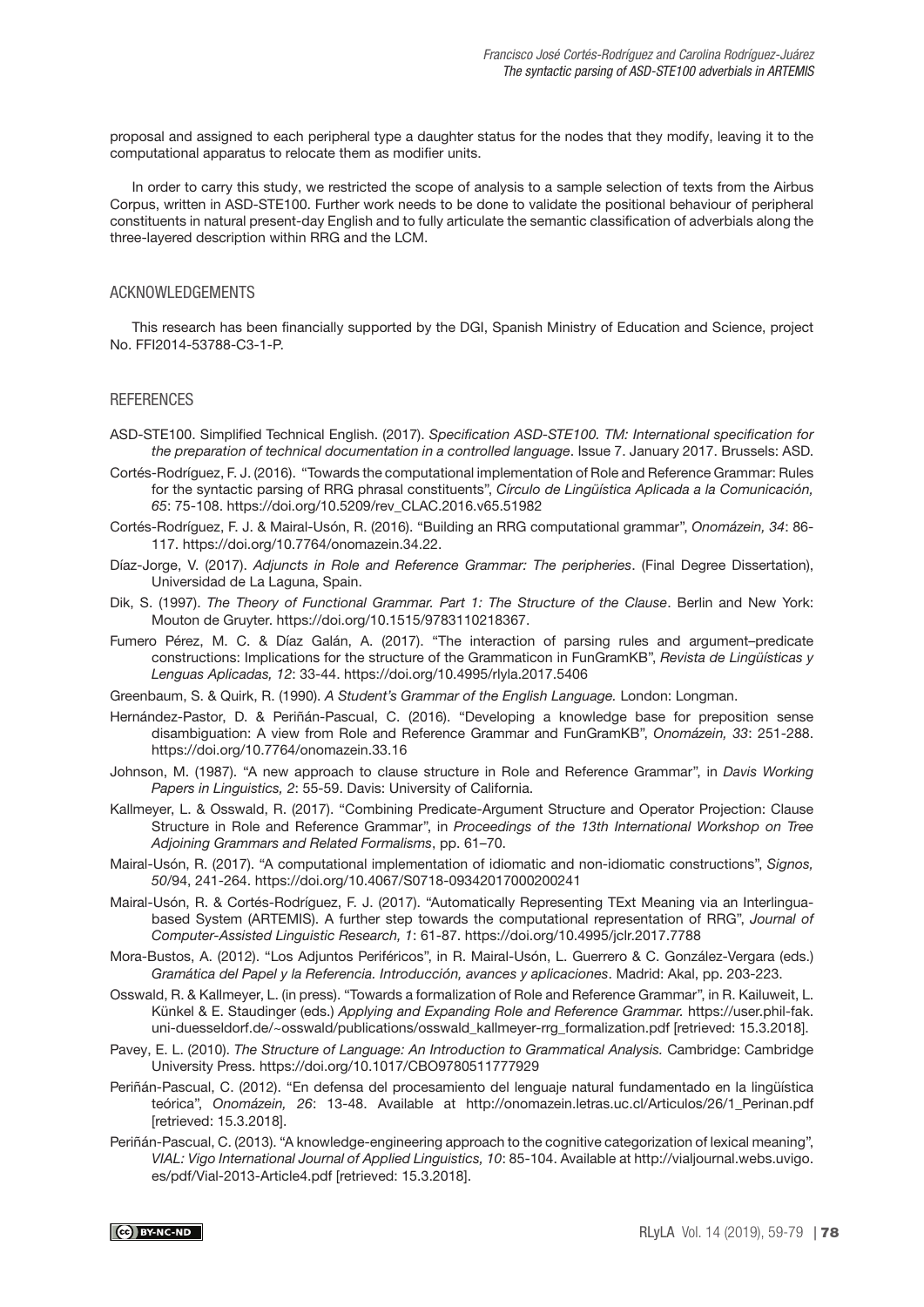proposal and assigned to each peripheral type a daughter status for the nodes that they modify, leaving it to the computational apparatus to relocate them as modifier units.

In order to carry this study, we restricted the scope of analysis to a sample selection of texts from the Airbus Corpus, written in ASD-STE100. Further work needs to be done to validate the positional behaviour of peripheral constituents in natural present-day English and to fully articulate the semantic classification of adverbials along the three-layered description within RRG and the LCM.

#### ACKNOWLEDGEMENTS

This research has been financially supported by the DGI, Spanish Ministry of Education and Science, project No. FFI2014-53788-C3-1-P.

# **REFERENCES**

- ASD-STE100. Simplified Technical English. (2017). Specification ASD-STE100. TM: International specification for the preparation of technical documentation in a controlled language. Issue 7. January 2017. Brussels: ASD.
- Cortés-Rodríguez, F. J. (2016). "Towards the computational implementation of Role and Reference Grammar: Rules for the syntactic parsing of RRG phrasal constituents", Círculo de Lingüística Aplicada a la Comunicación, 65: 75-108. [https://doi.org/10.5209/rev\\_CLAC.2016.v65.51982](https://doi.org/10.5209/rev_CLAC.2016.v65.51982)
- Cortés-Rodríguez, F. J. & Mairal-Usón, R. (2016). "Building an RRG computational grammar", Onomázein, 34: 86- 117. <https://doi.org/10.7764/onomazein.34.22>.
- Díaz-Jorge, V. (2017). Adjuncts in Role and Reference Grammar: The peripheries. (Final Degree Dissertation), Universidad de La Laguna, Spain.
- Dik, S. (1997). The Theory of Functional Grammar. Part 1: The Structure of the Clause. Berlin and New York: Mouton de Gruyter.<https://doi.org/10.1515/9783110218367>.
- Fumero Pérez, M. C. & Díaz Galán, A. (2017). "The interaction of parsing rules and argument–predicate constructions: Implications for the structure of the Grammaticon in FunGramKB", Revista de Lingüísticas y Lenguas Aplicadas, 12: 33-44. <https://doi.org/10.4995/rlyla.2017.5406>
- Greenbaum, S. & Quirk, R. (1990). A Student's Grammar of the English Language. London: Longman.
- Hernández-Pastor, D. & Periñán-Pascual, C. (2016). "Developing a knowledge base for preposition sense disambiguation: A view from Role and Reference Grammar and FunGramKB", Onomázein, 33: 251-288. <https://doi.org/10.7764/onomazein.33.16>
- Johnson, M. (1987). "A new approach to clause structure in Role and Reference Grammar", in Davis Working Papers in Linguistics, 2: 55-59. Davis: University of California.
- Kallmeyer, L. & Osswald, R. (2017). "Combining Predicate-Argument Structure and Operator Projection: Clause Structure in Role and Reference Grammar", in Proceedings of the 13th International Workshop on Tree Adjoining Grammars and Related Formalisms, pp. 61–70.
- Mairal-Usón, R. (2017). "A computational implementation of idiomatic and non-idiomatic constructions", Signos, 50/94, 241-264.<https://doi.org/10.4067/S0718-09342017000200241>
- Mairal-Usón, R. & Cortés-Rodríguez, F. J. (2017). "Automatically Representing TExt Meaning via an Interlinguabased System (ARTEMIS). A further step towards the computational representation of RRG", Journal of Computer-Assisted Linguistic Research, 1: 61-87. <https://doi.org/10.4995/jclr.2017.7788>
- Mora-Bustos, A. (2012). "Los Adjuntos Periféricos", in R. Mairal-Usón, L. Guerrero & C. González-Vergara (eds.) Gramática del Papel y la Referencia. Introducción, avances y aplicaciones. Madrid: Akal, pp. 203-223.
- Osswald, R. & Kallmeyer, L. (in press). "Towards a formalization of Role and Reference Grammar", in R. Kailuweit, L. Künkel & E. Staudinger (eds.) Applying and Expanding Role and Reference Grammar. [https://user.phil-fak.](https://user.phil-fak.uni-duesseldorf.de/~osswald/publications/osswald_kallmeyer-rrg_formalization.pdf) [uni-duesseldorf.de/~osswald/publications/osswald\\_kallmeyer-rrg\\_formalization.pdf](https://user.phil-fak.uni-duesseldorf.de/~osswald/publications/osswald_kallmeyer-rrg_formalization.pdf) [retrieved: 15.3.2018].
- Pavey, E. L. (2010). The Structure of Language: An Introduction to Grammatical Analysis. Cambridge: Cambridge University Press.<https://doi.org/10.1017/CBO9780511777929>
- Periñán-Pascual, C. (2012). "En defensa del procesamiento del lenguaje natural fundamentado en la lingüística teórica", Onomázein, 26: 13-48. Available at [http://onomazein.letras.uc.cl/Articulos/26/1\\_Perinan.pdf](http://onomazein.letras.uc.cl/Articulos/26/1_Perinan.pdf) [retrieved: 15.3.2018].
- Periñán-Pascual, C. (2013). "A knowledge-engineering approach to the cognitive categorization of lexical meaning", VIAL: Vigo International Journal of Applied Linguistics, 10: 85-104. Available at [http://vialjournal.webs.uvigo.](http://vialjournal.webs.uvigo.es/pdf/Vial-2013-Article4.pdf) [es/pdf/Vial-2013-Article4.pdf](http://vialjournal.webs.uvigo.es/pdf/Vial-2013-Article4.pdf) [retrieved: 15.3.2018].

 $\overline{(c)}$  BY-NC-ND